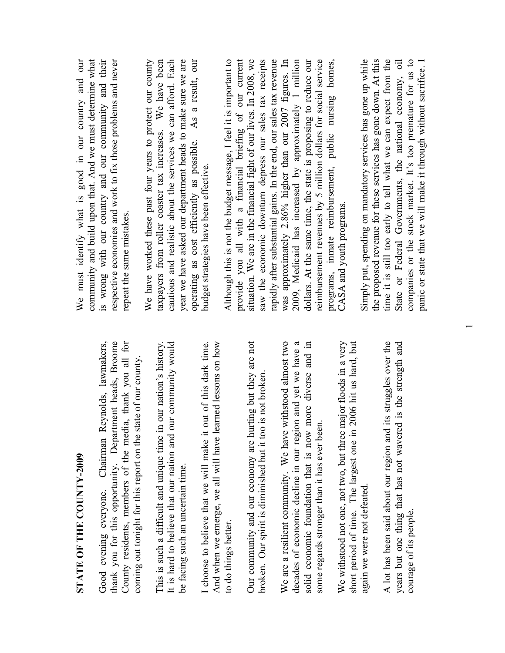| $\tilde{\zeta}$ |
|-----------------|
|                 |
| i               |
|                 |
| ŗ               |
| ו<br>ו          |
| ļ               |
| i               |
|                 |
|                 |
|                 |
|                 |
|                 |
| CC Link         |
|                 |
|                 |
|                 |
|                 |
|                 |
|                 |
|                 |
|                 |
| 「く FE           |
| ٦               |
|                 |
|                 |
| ۔<br>]<br>[     |

Good evening everyone. Chairman Reynolds, lawmakers, thank you for this opportunity. Department heads, Broome County residents, members of the media, thank you all for thank you for this opportunity. Department heads, Broome County residents, members of the media, thank you all for Chairman Reynolds, lawmakers, coming out tonight for this report on the state of our county. coming out tonight for this report on the state of our county. Good evening everyone.

This is such a difficult and unique time in our nation's history. It is hard to believe that our nation and our community would It is hard to believe that our nation and our community would This is such a difficult and unique time in our nation's history be facing such an uncertain time. be facing such an uncertain time.

I choose to believe that we will make it out of this dark time. And when we emerge, we all will have learned lessons on how And when we emerge, we all will have learned lessons on how I choose to believe that we will make it out of this dark time. to do things better. to do things better.

Our community and our economy are hurting but they are not Our community and our economy are hurting but they are not broken. Our spirit is diminished but it too is not broken. broken. Our spirit is diminished but it too is not broken

We are a resilient community. We have withstood almost two decades of economic decline in our region and yet we have a decades of economic decline in our region and yet we have a solid economic foundation that is now more diverse and in solid economic foundation that is now more diverse and in We are a resilient community. We have withstood almost two some regards stronger than it has ever been. some regards stronger than it has ever been.

We withstood not one, not two, but three major floods in a very short period of time. The largest one in 2006 hit us hard, but We withstood not one, not two, but three major floods in a very short period of time. The largest one in 2006 hit us hard, but again we were not defeated. again we were not defeated.

A lot has been said about our region and its struggles over the years but one thing that has not wavered is the strength and A lot has been said about our region and its struggles over the years but one thing that has not wavered is the strength and courage of its people. courage of its people.

We must identify what is good in our country and our community and build upon that. And we must determine what is wrong with our country and our community and their respective economies and work to fix those problems and never We must identify what is good in our country and our community and build upon that. And we must determine what is wrong with our country and our community and their respective economies and work to fix those problems and never repeat the same mistakes. repeat the same mistakes.

We have worked these past four years to protect our county taxpayers from roller coaster tax increases. We have been cautious and realistic about the services we can afford. Each year we have asked our department heads to make sure we are operating as cost efficiently as possible. As a result, our taxpayers from roller coaster tax increases. We have been cautious and realistic about the services we can afford. Each year we have asked our department heads to make sure we are As a result, our We have worked these past four years to protect our county operating as cost efficiently as possible. budget strategies have been effective. budget strategies have been effective.

Although this is not the budget message, I feel it is important to provide you all with a financial briefing of our current situation. We are in the financial fight of our lives. In 2008, we saw the economic downturn depress our sales tax receipts rapidly after substantial gains. In the end, our sales tax revenue was approximately 2.86% higher than our 2007 figures. In 2009, Medicaid has increased by approximately 1 million dollars. At the same time, the state is proposing to reduce our reimbursement revenues by 5 million dollars for social service programs, inmate reimbursement, public nursing homes, Although this is not the budget message, I feel it is important to provide you all with a financial briefing of our current situation. We are in the financial fight of our lives. In 2008, we saw the economic downturn depress our sales tax receipts rapidly after substantial gains. In the end, our sales tax revenue was approximately 2.86% higher than our 2007 figures. In 2009, Medicaid has increased by approximately 1 million dollars. At the same time, the state is proposing to reduce our reimbursement revenues by 5 million dollars for social service programs, inmate reimbursement, public nursing homes, CASA and youth programs. CASA and youth programs.

Simply put, spending on mandatory services has gone up while the proposed revenue for these services has gone down. At this time it is still too early to tell what we can expect from the State or Federal Governments, the national economy, oil companies or the stock market. It's too premature for us to panic or state that we will make it through without sacrifice. I Simply put, spending on mandatory services has gone up while the proposed revenue for these services has gone down. At this time it is still too early to tell what we can expect from the State or Federal Governments, the national economy, oil companies or the stock market. It's too premature for us to panic or state that we will make it through without sacrifice. I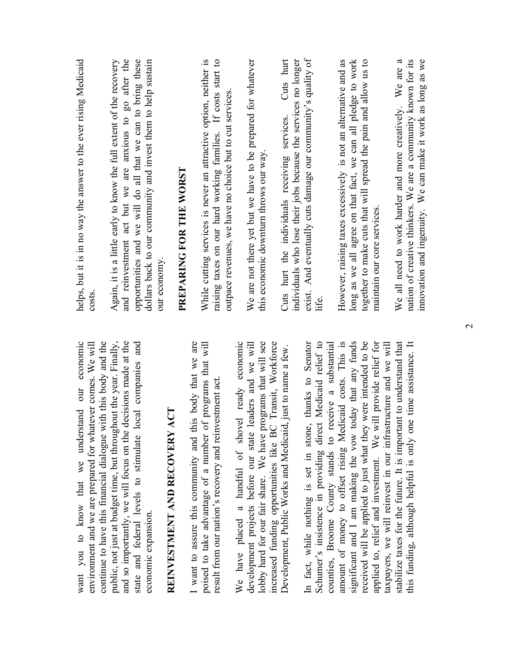| helps, but it is in no way the answer to the ever rising Medicaid<br>$\cos$                                                                                                        | and reinvestment act but we are anxious to go after the<br>Again, it is a little early to know the full extent of the recovery          | opportunities and we will do all that we can to bring these<br>dollars back to our community and invest them to help sustain | our economy.                     | PREPARING FOR THE WORST |                                                           | While cutting services is never an attractive option, neither is<br>raising taxes on our hard working families. If costs start to | outpace revenues, we have no choice but to cut services |                                                   | We are not there yet but we have to be prepared for whatever | this economic downturn throws our way                                                                                       | Cuts hurt<br>Cuts hurt the individuals receiving services.  | individuals who lose their jobs because the services no longer | exist. And eventually cuts damage our community's quality of | iite.                                                       |                                                         | However, raising taxes excessively is not an alternative and as | long as we all agree on that fact, we can all pledge to work | together to make cuts that will spread the pain and allow us to | maintain our core services                                                                                                     | We all need to work harder and more creatively. We are a           | nation of creative thinkers. We are a community known for its<br>innovation and ingenuity. We can make it work as long as we |
|------------------------------------------------------------------------------------------------------------------------------------------------------------------------------------|-----------------------------------------------------------------------------------------------------------------------------------------|------------------------------------------------------------------------------------------------------------------------------|----------------------------------|-------------------------|-----------------------------------------------------------|-----------------------------------------------------------------------------------------------------------------------------------|---------------------------------------------------------|---------------------------------------------------|--------------------------------------------------------------|-----------------------------------------------------------------------------------------------------------------------------|-------------------------------------------------------------|----------------------------------------------------------------|--------------------------------------------------------------|-------------------------------------------------------------|---------------------------------------------------------|-----------------------------------------------------------------|--------------------------------------------------------------|-----------------------------------------------------------------|--------------------------------------------------------------------------------------------------------------------------------|--------------------------------------------------------------------|------------------------------------------------------------------------------------------------------------------------------|
| continue to have this financial dialogue with this body and the<br>want you to know that we understand our economic<br>environment and we are prepared for whatever comes. We will | decisions made at the<br>public, not just at budget time, but throughout the year. Finally,<br>and so importantly, we will focus on the | local companies and<br>state and federal levels to stimulate<br>economic expansion.                                          | ACT<br>REINVESTMENT AND RECOVERY |                         | I want to assure this community and this body that we are | poised to take advantage of a number of programs that will<br>result from our nation's recovery and reinvestment act              |                                                         | We have placed a handful of shovel ready economic | leaders and we will<br>development projects before our state | lobby hard for our fair share. We have programs that will see<br>increased funding opportunities like BC Transit, Workforce | Development, Public Works and Medicaid, just to name a few. |                                                                | thanks to Senator<br>In fact, while nothing is set in stone, | Schumer's insistence in providing direct Medicaid relief to | counties, Broome County stands to receive a substantial | amount of money to offset rising Medicaid costs. This is        | significant and I am making the vow today that any funds     | received will be applied to just what they were intended to be  | applied to, relief and investment. We will provide relief for<br>taxpayers, we will reinvest in our infrastructure and we will | stabilize taxes for the future. It is important to understand that | this funding, although helpful is only one time assistance. It                                                               |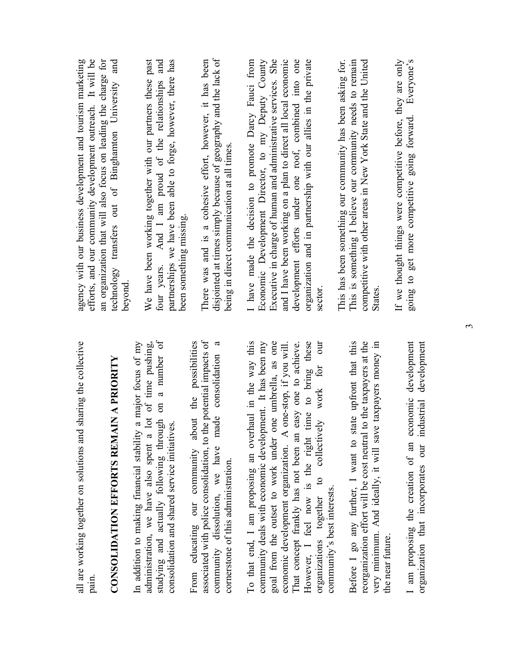| all are working together on solutions and sharing the collective<br>pain.                                                                                                                                                   | agency with our business development and tourism marketing<br>efforts, and our community development outreach. It will be<br>an organization that will also focus on leading the charge for |
|-----------------------------------------------------------------------------------------------------------------------------------------------------------------------------------------------------------------------------|---------------------------------------------------------------------------------------------------------------------------------------------------------------------------------------------|
| <b>CONSOLIDATION EFFORTS REMAIN A PRIORITY</b>                                                                                                                                                                              | technology transfers out of Binghamton University and<br>beyond                                                                                                                             |
| on a number of<br>administration, we have also spent a lot of time pushing,<br>In addition to making financial stability a major focus of my<br>studying and actually following through                                     | We have been working together with our partners these past<br>four years. And I am proud of the relationships and                                                                           |
| consolidation and shared service initiatives.                                                                                                                                                                               | partnerships we have been able to forge, however, there has<br>been something missing.                                                                                                      |
| associated with police consolidation, to the potential impacts of<br>From educating our community about the possibilities<br>consolidation<br>made<br>community dissolution, we have<br>cornerstone of this administration. | disjointed at times simply because of geography and the lack of<br>There was and is a cohesive effort, however, it has been<br>being in direct communication at all times.                  |
| To that end, I am proposing an overhaul in the way this<br>community deals with economic development. It has been my                                                                                                        | Economic Development Director, to my Deputy County<br>I have made the decision to promote Darcy Fauci from                                                                                  |
| goal from the outset to work under one umbrella, as one<br>economic development organization. A one-stop, if you will                                                                                                       | Executive in charge of human and administrative services. She<br>and I have been working on a plan to direct all local economic                                                             |
| However, I feel now is the right time to bring these<br>That concept frankly has not been an easy one to achieve.                                                                                                           | development efforts under one roof, combined into one<br>organization and in partnership with our allies in the private                                                                     |
| nno<br>m<br>work for<br>collectively<br>$\overline{c}$<br>community's best interests.<br>organizations together                                                                                                             | sector                                                                                                                                                                                      |
| e upfront that this<br>Before I go any further, I want to stat                                                                                                                                                              | This has been something our community has been asking for.<br>This is something I believe our community needs to remain                                                                     |
| reorganization effort will be cost neutral to the taxpayers at the<br>taxpayers money in<br>very minimum. And ideally, it will save<br>the near future.                                                                     | competitive with other areas in New York State and the United<br><b>States</b>                                                                                                              |
|                                                                                                                                                                                                                             | If we thought things were competitive before, they are only                                                                                                                                 |
| I am proposing the creation of an economic development<br>organization that incorporates our industrial development                                                                                                         | going to get more competitive going forward. Everyone's                                                                                                                                     |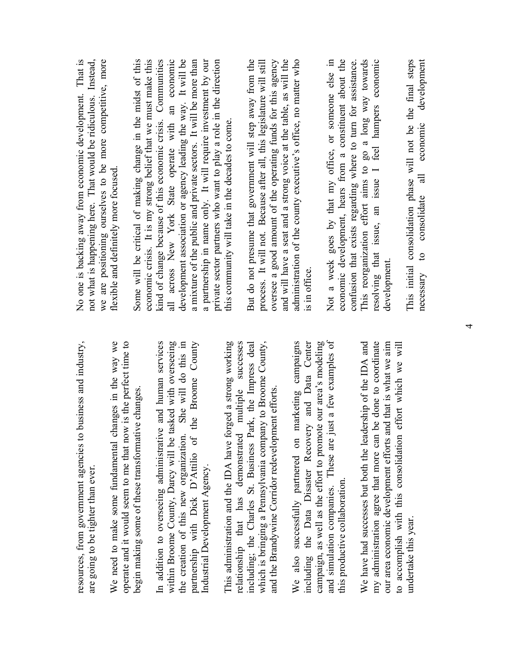| resources, from government agencies to business and industry,<br>are going to be tighter than ever.                            | No one is backing away from economic development. That is<br>not what is happening here. That would be ridiculous. Instead,        |
|--------------------------------------------------------------------------------------------------------------------------------|------------------------------------------------------------------------------------------------------------------------------------|
| ges in the way we<br>operate and it would seem to me that now is the perfect time to<br>We need to make some fundamental chan  | we are positioning ourselves to be more competitive, more<br>flexible and definitely more focused.                                 |
| changes<br>begin making some of these transformative                                                                           | economic crisis. It is my strong belief that we must make this<br>Some will be critical of making change in the midst of this      |
| In addition to overseeing administrative and human services                                                                    | kind of change because of this economic crisis. Communities                                                                        |
| within Broome County, Darcy will be tasked with overseeing                                                                     | all across New York State operate with an economic                                                                                 |
| She will do this in<br>the creation of this new organization.                                                                  | development association or agency leading the way. It will be                                                                      |
| Broome County<br>partnership with Dick D'Attilio of the<br>Industrial Development Agency.                                      | a mixture of the public and private sectors. It will be more than<br>a partnership in name only. It will require investment by our |
|                                                                                                                                | private sector partners who want to play a role in the direction                                                                   |
| This administration and the IDA have forged a strong working                                                                   | this community will take in the decades to come.                                                                                   |
| relationship that has demonstrated multiple successes                                                                          |                                                                                                                                    |
| , the Impress deal<br>including; the Charles St. Business Park.                                                                | But do not presume that government will step away from the                                                                         |
| to Broome County,<br>which is bringing a Pennsylvania company                                                                  | process. It will not. Because after all, this legislature will still                                                               |
| and the Brandywine Corridor redevelopment efforts                                                                              | oversee a good amount of the operating funds for this agency                                                                       |
|                                                                                                                                | and will have a seat and a strong voice at the table, as will the                                                                  |
| We also successfully partnered on marketing campaigns                                                                          | administration of the county executive's office, no matter who                                                                     |
| and Data Center<br>including the Data Disaster Recovery                                                                        | is in office                                                                                                                       |
| our area's modeling<br>campaign, as well as the effort to promote                                                              |                                                                                                                                    |
| a tew examples of<br>and simulation companies. These are just                                                                  | Not a week goes by that my office, or someone else in                                                                              |
| this productive collaboration.                                                                                                 | economic development, hears from a constituent about the                                                                           |
|                                                                                                                                | confusion that exists regarding where to turn for assistance.                                                                      |
| We have had successes but both the leadership of the IDA and                                                                   | This reorganization effort aims to go a long way towards                                                                           |
| done to coordinate<br>my administration agree that more can be                                                                 | resolving that issue, an issue I feel hampers economic                                                                             |
| that is what we aim<br>to accomplish with this consolidation effort which we will<br>our area economic development efforts and | development.                                                                                                                       |
|                                                                                                                                |                                                                                                                                    |
| undertake this year.                                                                                                           | This initial consolidation phase will not be the final steps                                                                       |
|                                                                                                                                | development<br>to consolidate all economic<br>necessary                                                                            |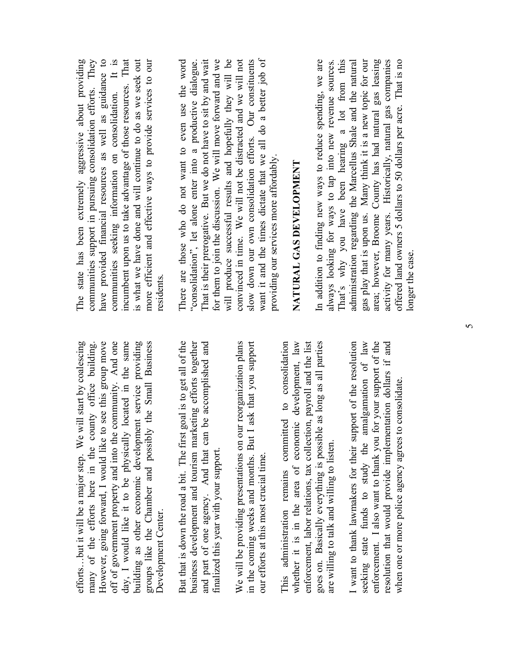efforts...but it will be a major step. We will start by coalescing efforts…but it will be a major step. We will start by coalescing many of the efforts here in the county office building. However, going forward, I would like to see this group move However, going forward, I would like to see this group move off of government property and into the community. And one day, I would like it to be physically located in the same building as other economic development service providing groups like the Chamber and possibly the Small Business off of government property and into the community. And one day, I would like it to be physically located in the same building as other economic development service providing many of the efforts here in the county office building. groups like the Chamber and possibly the Small Business Development Center. Development Center.

But that is down the road a bit. The first goal is to get all of the But that is down the road a bit. The first goal is to get all of the business development and tourism marketing efforts together and part of one agency. And that can be accomplished and business development and tourism marketing efforts together and part of one agency. And that can be accomplished and finalized this year with your support. finalized this year with your support. We will be providing presentations on our reorganization plans We will be providing presentations on our reorganization plans in the coming weeks and months. But I ask that you support in the coming weeks and months. But I ask that you support our efforts at this most crucial time. our efforts at this most crucial time.

This administration remains committed to consolidation whether it is in the area of economic development, law whether it is in the area of economic development, law enforcement, labor relations, tax collection, payroll and the list goes on. Basically everything is possible as long as all parties This administration remains committed to consolidation enforcement, labor relations, tax collection, payroll and the list goes on. Basically everything is possible as long as all parties are willing to talk and willing to listen. are willing to talk and willing to listen.

I want to thank lawmakers for their support of the resolution seeking state funds to study the amalgamation of law seeking state funds to study the amalgamation of law enforcement. I also want to thank you for your support of the enforcement. I also want to thank you for your support of the resolution that would provide implementation dollars if and I want to thank lawmakers for their support of the resolution resolution that would provide implementation dollars if and when one or more police agency agrees to consolidate. when one or more police agency agrees to consolidate.

The state has been extremely aggressive about providing communities support in pursuing consolidation efforts. They have provided financial resources as well as guidance to communities seeking information on consolidation. It is incumbent upon us to take advantage of those resources. That is what we have done and will continue to do as we seek out more efficient and effective ways to provide services to our The state has been extremely aggressive about providing communities support in pursuing consolidation efforts. They have provided financial resources as well as guidance to communities seeking information on consolidation. It is incumbent upon us to take advantage of those resources. That is what we have done and will continue to do as we seek out more efficient and effective ways to provide services to our residents. residents.

There are those who do not want to even use the word "consolidation", let alone enter into a productive dialogue. That is their prerogative. But we do not have to sit by and wait for them to join the discussion. We will move forward and we will produce successful results and hopefully they will be convinced in time. We will not be distracted and we will not slow down our own consolidation efforts. Our constituents want it and the times dictate that we all do a better job of There are those who do not want to even use the word That is their prerogative. But we do not have to sit by and wait for them to join the discussion. We will move forward and we will produce successful results and hopefully they will be convinced in time. We will not be distracted and we will not slow down our own consolidation efforts. Our constituents want it and the times dictate that we all do a better job of "consolidation", let alone enter into a productive dialogue. providing our services more affordably. providing our services more affordably.

## **NATURAL GAS DEVELOPMENT**  NATURAL GAS DEVELOPMENT

In addition to finding new ways to reduce spending, we are always looking for ways to tap into new revenue sources. That's why you have been hearing a lot from this<br>administration regarding the Marcellus Shale and the natural That's why you have been hearing a lot from this administration regarding the Marcellus Shale and the natural gas play that is upon us. Many think it is a new topic for our area; however, Broome County has had natural gas leasing activity for many years. Historically, natural gas companies offered land owners 5 dollars to 50 dollars per acre. That is no In addition to finding new ways to reduce spending, we are gas play that is upon us. Many think it is a new topic for our area; however, Broome County has had natural gas leasing activity for many years. Historically, natural gas companies offered land owners 5 dollars to 50 dollars per acre. That is no always looking for ways to tap into new revenue sources. longer the case. onger the case.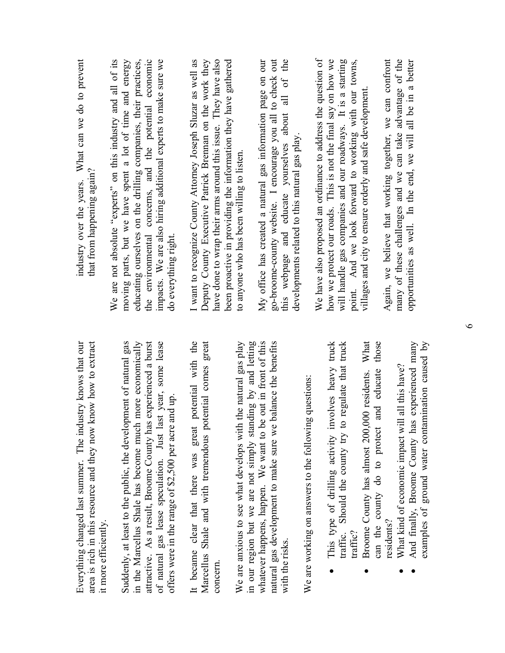| know how to extract<br>Everything changed last summer. The industry knows that our<br>area is rich in this resource and they now<br>it more efficiently. | industry over the years. What can we do to prevent<br>that from happening again?                                            |
|----------------------------------------------------------------------------------------------------------------------------------------------------------|-----------------------------------------------------------------------------------------------------------------------------|
|                                                                                                                                                          | We are not absolute "experts" on this industry and all of its                                                               |
| Suddenly, at least to the public, the development of natural gas<br>in the Marcellus Shale has become much more economically                             | moving parts, but we have spent a lot of time and energy<br>educating ourselves on the drilling companies, their practices, |
| attractive. As a result, Broome County has experienced a burst                                                                                           | the environmental concerns, and the potential economic                                                                      |
| of natural gas lease speculation. Just last year, some lease                                                                                             | impacts. We are also hiring additional experts to make sure we                                                              |
| and up<br>offers were in the range of \$2,500 per acre                                                                                                   | do everything right.                                                                                                        |
| potential with the<br>It became clear that there was great                                                                                               | I want to recognize County Attorney Joseph Sluzar as well as                                                                |
| Marcellus Shale and with tremendous potential comes great                                                                                                | Deputy County Executive Patrick Brennan on the work they                                                                    |
| concern.                                                                                                                                                 | have done to wrap their arms around this issue. They have also                                                              |
| We are anxious to see what develops with the natural gas play                                                                                            | been proactive in providing the information they have gathered<br>to anyone who has been willing to listen.                 |
| in our region but we are not simply standing by and letting                                                                                              |                                                                                                                             |
| whatever happens, happen. We want to be out in front of this                                                                                             | My office has created a natural gas information page on our                                                                 |
| balance the benefits<br>natural gas development to make sure we                                                                                          | go-broome-county website. I encourage you all to check out                                                                  |
| with the risks.                                                                                                                                          | this webpage and educate yourselves about all of the                                                                        |
|                                                                                                                                                          | developments related to this natural gas play.                                                                              |
| We are working on answers to the following questions:                                                                                                    |                                                                                                                             |
|                                                                                                                                                          | We have also proposed an ordinance to address the question of                                                               |
| This type of drilling activity involves heavy truck                                                                                                      | how we protect our roads. This is not the final say on how we                                                               |
| regulate that truck<br>Should the county try to<br>traffic.                                                                                              | will handle gas companies and our roadways. It is a starting                                                                |
| traffic?                                                                                                                                                 | point. And we look forward to working with our towns,                                                                       |
| What<br>Broome County has almost 200,000 residents.                                                                                                      | villages and city to ensure orderly and safe development                                                                    |
| those<br>educate<br>and<br>can the county do to protect                                                                                                  |                                                                                                                             |
| residents?                                                                                                                                               | Again, we believe that working together, we can confront                                                                    |
| What kind of economic impact will all this have?                                                                                                         | many of these challenges and we can take advantage of the                                                                   |
| And finally, Broome County has experienced many                                                                                                          | opportunities as well. In the end, we will all be in a better                                                               |
| examples of ground water contamination caused by                                                                                                         |                                                                                                                             |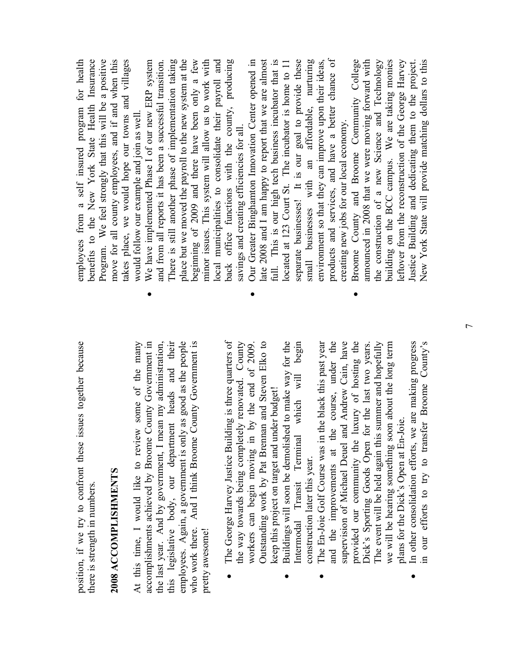position, if we try to confront these issues together because position, if we try to confront these issues together because there is strength in numbers. there is strength in numbers.

## **2008 ACCOMPLISHMENTS**  2008 ACCOMPLISHMENTS

At this time, I would like to review some of the many accomplishments achieved by Broome County Government in the last year. And by government, I mean my administration, this legislative body, our department heads and their this legislative body, our department heads and their employees. Again, a government is only as good as the people who work there. And I think Broome County Government is who work there. And I think Broome County Government is accomplishments achieved by Broome County Government in employees. Again, a government is only as good as the people At this time, I would like to review some of the many the last year. And by government, I mean my administration, pretty awesome! pretty awesome!

 The George Harvey Justice Building is three quarters of the way towards being completely renovated. County workers can begin moving in by the end of 2009. Outstanding work by Pat Brennan and Steven Elko to The George Harvey Justice Building is three quarters of the way towards being completely renovated. County Outstanding work by Pat Brennan and Steven Elko to workers can begin moving in by the end of 2009. keep this project on target and under budget! keep this project on target and under budget! •

•

- Buildings will soon be demolished to make way for the Intermodal Transit Terminal which will begin Buildings will soon be demolished to make way for the Intermodal Transit Terminal which will begin construction later this year. construction later this year. •
- The En-Joie Golf Course was in the black this past year and the improvements at the course, under the and the improvements at the course, under the supervision of Michael Deuel and Andrew Cain, have supervision of Michael Deuel and Andrew Cain, have provided our community the luxury of hosting the Dick's Sporting Goods Open for the last two years.<br>The event will be held again this summer and hopefully Dick's Sporting Goods Open for the last two years. The event will be held again this summer and hopefully we will be hearing something soon about the long term provided our community the luxury of hosting the we will be hearing something soon about the long term The En-Joie Golf Course was in the black this past year plans for the Dick's Open at En-Joie. plans for the Dick's Open at En-Joie. •

•

In other consolidation efforts, we are making progress In other consolidation efforts, we are making progress in our efforts to try to transfer Broome County's in our efforts to try to transfer Broome County's •

employees from a self insured program for health benefits to the New York State Health Insurance Program. We feel strongly that this will be a positive move for all county employees, and if and when this takes place, we would hope our towns and villages Program. We feel strongly that this will be a positive move for all county employees, and if and when this takes place, we would hope our towns and villages employees from a self insured program for health benefits to the New York State Health Insurance would follow our example and join as well. would follow our example and join as well.

- $\bullet$  We have implemented Phase I of our new ERP system and from all reports it has been a successful transition. There is still another phase of implementation taking place but we moved the payroll to the new system at the beginning of 2009 and there have been only a few minor issues. This system will allow us to work with local municipalities to consolidate their payroll and back office functions with the county, producing We have implemented Phase I of our new ERP system There is still another phase of implementation taking place but we moved the payroll to the new system at the beginning of 2009 and there have been only a few local municipalities to consolidate their payroll and back office functions with the county, producing minor issues. This system will allow us to work with and from all reports it has been a successful transition. savings and creating efficiencies for all. savings and creating efficiencies for all. •
	- Our Greater Binghamton Innovation Center opened in late 2008 and I am happy to report that we are almost full. This is our high tech business incubator that is located at 123 Court St. The incubator is home to 11 separate businesses! It is our goal to provide these small businesses with an affordable, nurturing environment so that they can improve upon their ideas, products and services, and have a better chance of late 2008 and I am happy to report that we are almost full. This is our high tech business incubator that is separate businesses! It is our goal to provide these small businesses with an affordable, nurturing products and services, and have a better chance of Our Greater Binghamton Innovation Center opened in located at 123 Court St. The incubator is home to 11 environment so that they can improve upon their ideas, creating new jobs for our local economy. creating new jobs for our local economy.
		- Broome County and Broome Community College announced in 2008 that we were moving forward with the construction of a new Science and Technology building on the BCC campus. We are taking monies leftover from the reconstruction of the George Harvey Justice Building and dedicating them to the project. New York State will provide matching dollars to this announced in 2008 that we were moving forward with the construction of a new Science and Technology building on the BCC campus. We are taking monies leftover from the reconstruction of the George Harvey New York State will provide matching dollars to this Broome County and Broome Community College Justice Building and dedicating them to the project.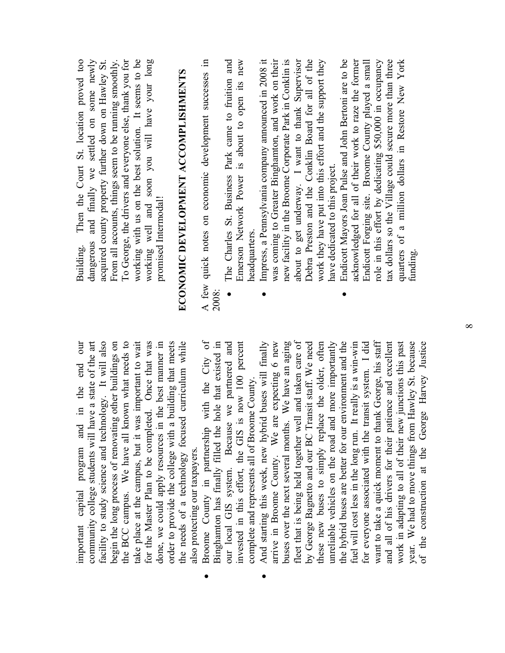important capital program and in the end our our community college students will have a state of the art facility to study science and technology. It will also facility to study science and technology. It will also begin the long process of renovating other buildings on the BCC campus. We have all known what needs to take place at the campus, but it was important to wait take place at the campus, but it was important to wait for the Master Plan to be completed. Once that was for the Master Plan to be completed. Once that was done, we could apply resources in the best manner in order to provide the college with a building that meets order to provide the college with a building that meets the needs of a technology focused curriculum while the needs of a technology focused curriculum while community college students will have a state of the art begin the long process of renovating other buildings on the BCC campus. We have all known what needs to done, we could apply resources in the best manner in important capital program and in the end also protecting our taxpayers. also protecting our taxpayers.

- Broome County in partnership with the City of Broome County in partnership with the City of Binghamton has finally filled the hole that existed in Binghamton has finally filled the hole that existed in our local GIS system. Because we partnered and invested in this effort, the GIS is now 100 percent invested in this effort, the GIS is now 100 percent our local GIS system. Because we partnered and complete and represents all of Broome County. complete and represents all of Broome County. •
- And starting this week, new hybrid buses will finally arrive in Broome County. We are expecting 6 new arrive in Broome County. We are expecting 6 new buses over the next several months. We have an aging buses over the next several months. We have an aging fleet that is being held together well and taken care of fleet that is being held together well and taken care of by George Bagnetto and our BC Transit staff. We need these new buses to simply replace the older, often these new buses to simply replace the older, often unreliable vehicles on the road and more importantly the hybrid buses are better for our environment and the the hybrid buses are better for our environment and the fuel will cost less in the long run. It really is a win-win for everyone associated with the transit system. I did want to take a quick moment to thank George, his staff want to take a quick moment to thank George, his staff and all of his drivers for their patience and excellent and all of his drivers for their patience and excellent work in adapting to all of their new junctions this past year. We had to move things from Hawley St. because year. We had to move things from Hawley St. because of the construction at the George Harvey Justice And starting this week, new hybrid buses will finally by George Bagnetto and our BC Transit staff. We need unreliable vehicles on the road and more importantly fuel will cost less in the long run. It really is a win-win for everyone associated with the transit system. I did work in adapting to all of their new junctions this past of the construction at the George Harvey Justice •

Building. Then the Court St. location proved too dangerous and finally we settled on some newly acquired county property further down on Hawley St. From all accounts, things seem to be running smoothly. To George, the drivers and everyone else, thank you for working with us on the best solution. It seems to be working well and soon you will have your long Then the Court St. location proved too dangerous and finally we settled on some newly From all accounts, things seem to be running smoothly. To George, the drivers and everyone else, thank you for working with us on the best solution. It seems to be working well and soon you will have your long acquired county property further down on Hawley St. promised Intermodal! promised Intermodal! Building.

# **ECONOMIC DEVELOPMENT ACCOMPLISHMENTS ECONOMIC DEVELOPMENT ACCOMPLISHMENTS**

A few quick notes on economic development successes in A few quick notes on economic development successes in 2008:

- The Charles St. Business Park came to fruition and Emerson Network Power is about to open its new The Charles St. Business Park came to fruition and Emerson Network Power is about to open its new headquarters. headquarters. •
- Impress, a Pennsylvania company announced in 2008 it was coming to Greater Binghamton, and work on their new facility in the Broome Corporate Park in Conklin is about to get underway. I want to thank Supervisor Debra Preston and the Conklin Board for all of the work they have put into this effort and the support they Impress, a Pennsylvania company announced in 2008 it was coming to Greater Binghamton, and work on their new facility in the Broome Corporate Park in Conklin is about to get underway. I want to thank Supervisor Debra Preston and the Conklin Board for all of the work they have put into this effort and the support they have dedicated to this project. have dedicated to this project. •
	- Endicott Mayors Joan Pulse and John Bertoni are to be acknowledged for all of their work to raze the former Endicott Forging site. Broome County played a small role in this effort by dedicating \$50,000 in occupancy tax dollars so the Village could secure more than three quarters of a million dollars in Restore New York Endicott Mayors Joan Pulse and John Bertoni are to be acknowledged for all of their work to raze the former role in this effort by dedicating \$50,000 in occupancy tax dollars so the Village could secure more than three Endicott Forging site. Broome County played a small quarters of a million dollars in Restore New York funding. •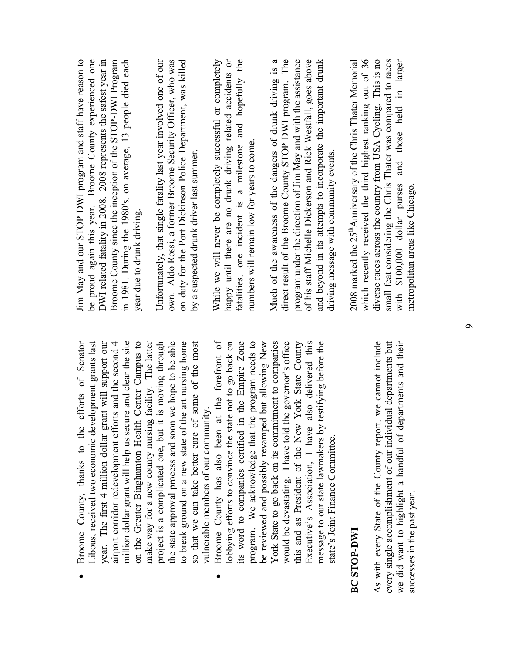| Broome County, thanks to the efforts of Senator             | Jim May and our STOP-DWI program and staff ha         |
|-------------------------------------------------------------|-------------------------------------------------------|
| Libous, received two economic development grants last       | be proud again this year. Broome County expe          |
| year. The first 4 million dollar grant will support our     | DWI related fatality in 2008. 2008 represents the s   |
| airport corridor redevelopment efforts and the second 4     | Broome County since the inception of the STOP-D       |
| million dollar grant will help us secure and clear the site | in 1981. During the 1980's, on average, 13 peopl      |
| on the Greater Binghamton Health Center Campus to           | year due to drunk driving.                            |
| make way for a new county nursing facility. The latter      |                                                       |
| project is a complicated one, but it is moving through      | Unfortunately, that single fatality last year involve |
| the state approval process and soon we hope to be able      | own. Aldo Rossi, a former Broome Security Offic       |
| to break ground on a new state of the art nursing home      | on duty for the Port Dickinson Police Department      |
| so that we can take better care of some of the most         | by a suspected drunk driver last summer.              |
| vulnerable members of our community.                        |                                                       |
| Broome County has also been at the forefront of             | While we will never be completely successful or       |
| lobbying efforts to convince the state not to go back on    | happy until there are no drunk driving related        |
| its word to companies certified in the Empire Zone          | fatalities, one incident is a milestone and ho        |
| program. We acknowledge that the program needs to           | numbers will remain low for years to come.            |
| be reviewed and possibly revamped but allowing New          |                                                       |
| Vark State to hade on its commitmant to commanion           | Much of the awareness of the dangers of drunk         |

York State to go back on its commitment to companies York State to go back on its commitment to companies would be devastating. I have told the governor's office this and as President of the New York State County Executive's Association, I have also delivered this Executive's Association, I have also delivered this message to our state lawmakers by testifying before the would be devastating. I have told the governor's office this and as President of the New York State County message to our state lawmakers by testifying before the state's Joint Finance Committee. state's Joint Finance Committee.

#### **BC STOP-DWI BCSTOP-DWI**

As with every State of the County report, we cannot include As with every State of the County report, we cannot include every single accomplishment of our individual departments but we did want to highlight a handful of departments and their every single accomplishment of our individual departments but we did want to highlight a handful of departments and their successes in the past year. successes in the past year.

Jim May and our STOP-DWI program and staff have reason to be proud again this year. Broome County experienced one DWI related fatality in 2008. 2008 represents the safest year in Broome County since the inception of the STOP-DWI Program in 1981. During the 1980's, on average, 13 people died each ve reason to menced one afest year in WI Program le died each

Unfortunately, that single fatality last year involved one of our own. Aldo Rossi, a former Broome Security Officer, who was on duty for the Port Dickinson Police Department, was killed d one of our er, who was t, was killed

While we will never be completely successful or completely happy until there are no drunk driving related accidents or fatalities, one incident is a milestone and hopefully the accidents or pefully the completely

Much of the awareness of the dangers of drunk driving is a direct result of the Broome County STOP-DWI program. The program under the direction of Jim May and with the assistance of his staff Michelle Dickerson and Rick Westfall, goes above and beyond in its attempts to incorporate the important drunk Much of the awareness of the dangers of drunk driving is a direct result of the Broome County STOP-DWI program. The program under the direction of Jim May and with the assistance of his staff Michelle Dickerson and Rick Westfall, goes above and beyond in its attempts to incorporate the important drunk driving message with community events. driving message with community events. 2008 marked the 25<sup>th</sup>Anniversary of the Chris Thater Memorial which recently received the third highest ranking out of 36 diverse races across the country from USA Cycling. This is no small feat considering the Chris Thater was compared to races larger with \$100,000 dollar purses and those held in larger which recently received the third highest ranking out of 36 diverse races across the country from USA Cycling. This is no small feat considering the Chris Thater was compared to races 2008 marked the 25<sup>th</sup>Anniversary of the Chris Thater Memorial with \$100,000 dollar purses and those held in metropolitan areas like Chicago. netropolitan areas like Chicago.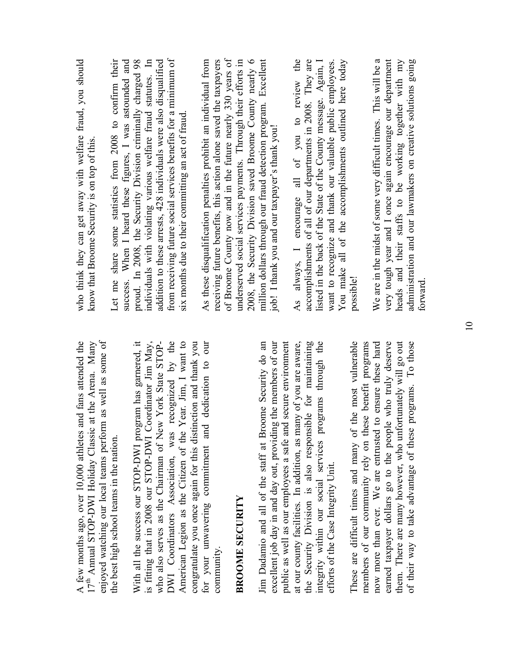| enjoyed watching our local teams perform as well as some of<br>at the Arena. Many<br>and fans attended the<br>$17th$ Annual STOP-DWI Holiday Classic<br>A few months ago, over 10,000 athletes | who think they can get away with welfare fraud, you should<br>know that Broome Security is on top of this.                         |
|------------------------------------------------------------------------------------------------------------------------------------------------------------------------------------------------|------------------------------------------------------------------------------------------------------------------------------------|
| the best high school teams in the nation.                                                                                                                                                      | Let me share some statistics from 2008 to confirm their<br>success. When I heard these figures, I was astounded and                |
| With all the success our STOP-DWI program has garnered, it                                                                                                                                     | proud. In 2008, the Security Division criminally charged 98                                                                        |
| is fitting that in 2008 our STOP-DWI Coordinator Jim May,<br>who also serves as the Chairman of New York State STOP-                                                                           | individuals with violating various welfare fraud statutes. In<br>addition to these arrests, 428 individuals were also disqualified |
| recognized by the<br>DWI Coordinators Association, was                                                                                                                                         | from receiving future social services benefits for a minimum of                                                                    |
| Year. Jim, I want to<br>American Legion as the Citizen of the                                                                                                                                  | six months due to their committing an act of fraud                                                                                 |
| congratulate you once again for this distinction and thank you                                                                                                                                 |                                                                                                                                    |
| dedication to our<br>for your unwavering commitment and                                                                                                                                        | As these disqualification penalties prohibit an individual from                                                                    |
| community.                                                                                                                                                                                     | receiving future benefits, this action alone saved the taxpayers                                                                   |
|                                                                                                                                                                                                | of Broome County now and in the future nearly 330 years of                                                                         |
| <b>BROOME SECURITY</b>                                                                                                                                                                         | underserved social services payments. Through their efforts in                                                                     |
|                                                                                                                                                                                                | 2008, the Security Division saved Broome County nearly 6                                                                           |
| Jim Dadamio and all of the staff at Broome Security do an                                                                                                                                      | million dollars through our fraud detection program. Excellent                                                                     |
| excellent job day in and day out, providing the members of our                                                                                                                                 | job! I thank you and our taxpayer's thank you!                                                                                     |
| public as well as our employees a safe and secure environment                                                                                                                                  |                                                                                                                                    |
| at our county facilities. In addition, as many of you are aware,                                                                                                                               | always, I encourage all of you to review the<br>As                                                                                 |
| the Security Division is also responsible for maintaining                                                                                                                                      | accomplishments of all of our departments in 2008. They are                                                                        |
| integrity within our social services programs through the                                                                                                                                      | listed in the back of the State of the County message. Again, I                                                                    |
| efforts of the Case Integrity Unit.                                                                                                                                                            | want to recognize and thank our valuable public employees.                                                                         |
|                                                                                                                                                                                                | You make all of the accomplishments outlined here today                                                                            |
| the most vulnerable<br>These are difficult times and many of                                                                                                                                   | possible!                                                                                                                          |
| members of our community rely on these benefit programs                                                                                                                                        |                                                                                                                                    |
| now more than ever. We are entrusted to ensure these hard                                                                                                                                      | We are in the midst of some very difficult times. This will be a                                                                   |
| earned taxpayer dollars go to the people who truly deserve                                                                                                                                     | very tough year and I once again encourage our department                                                                          |
| them. There are many however, who unfortunately will go out                                                                                                                                    | heads and their staffs to be working together with my                                                                              |
| of their way to take advantage of these programs. To those                                                                                                                                     | administration and our lawmakers on creative solutions going                                                                       |

forward.

forward.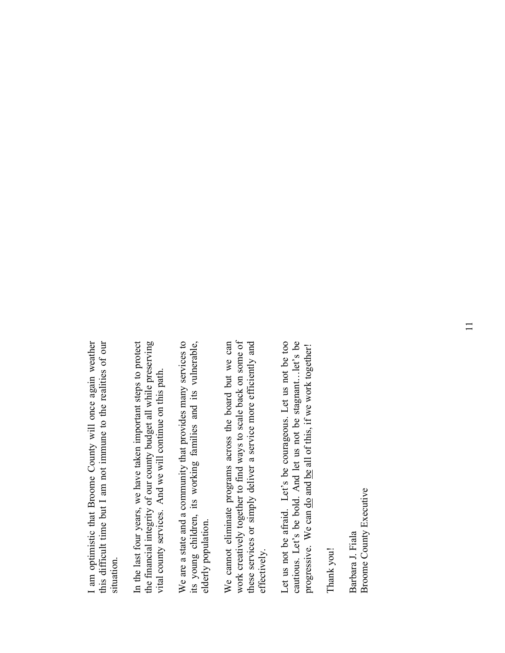I am optimistic that Broome County will once again weather this difficult time but I am not immune to the realities of our I am optimistic that Broome County will once again weather this difficult time but I am not immune to the realities of our situation. situation.

In the last four years, we have taken important steps to protect the financial integrity of our county budget all while preserving the financial integrity of our county budget all while preserving In the last four years, we have taken important steps to protect vital county services. And we will continue on this path. vital county services. And we will continue on this path.

We are a state and a community that provides many services to its young children, its working families and its vulnerable, its young children, its working families and its vulnerable, We are a state and a community that provides many services to elderly population. elderly population.

We cannot eliminate programs across the board but we can work creatively together to find ways to scale back on some of work creatively together to find ways to scale back on some of these services or simply deliver a service more efficiently and We cannot eliminate programs across the board but we can these services or simply deliver a service more efficiently and effectively. effectively.

Let us not be afraid. Let's be courageous. Let us not be too Let us not be afraid. Let's be courageous. Let us not be too cautious. Let's be bold. And let us not be stagnant...let's be cautious. Let's be bold. And let us not be stagnant…let's be progressive. We can <u>do</u> and be all of this, if we work together! progressive. We can do and be all of this, if we work together!

Thank you! Thank you!

Broome County Executive **Broome County Executive** Barbara J. Fiala Barbara J. Fiala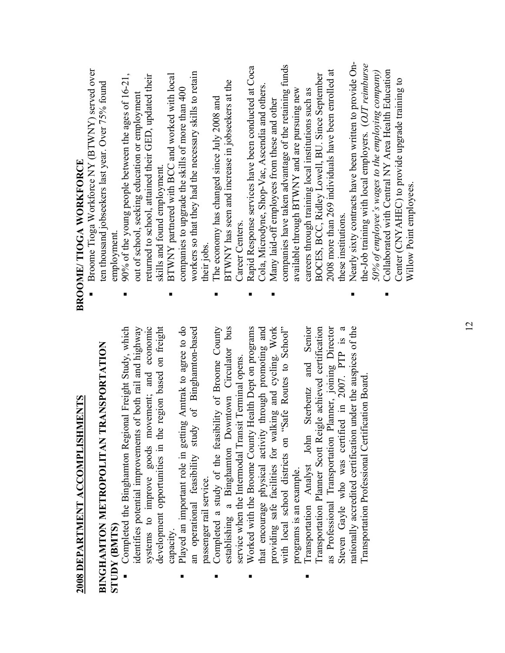# **2008 DEPARTMENT ACCOMPLISHMENTS 2008 DEPARTMENT ACCOMPLISHMENTS**

## **BINGHAMTON METROPOLITAN TRANSPORTATION BINGHAMTON METROPOLITAN TRANSPORTATION STUDY (BMTS) STUDY (BMTS)**

- Completed the Binghamton Regional Freight Study, which identifies potential improvements of both rail and highway systems to improve goods movement; and economic development opportunities in the region based on freight Completed the Binghamton Regional Freight Study, which identifies potential improvements of both rail and highway systems to improve goods movement; and economic development opportunities in the region based on freight capacity ■
- Played an important role in getting Amtrak to agree to do an operational feasibility study of Binghamton-based Played an important role in getting Amtrak to agree to do an operational feasibility study of Binghamton-based passenger rail service. passenger rail service. ■
	- Completed a study of the feasibility of Broome County establishing a Binghamton Downtown Circulator bus Completed a study of the feasibility of Broome County establishing a Binghamton Downtown Circulator bus service when the Intermodal Transit Terminal opens. service when the Intermodal Transit Terminal opens. ■
		- Worked with the Broome County Health Dept on programs that encourage physical activity through promoting and providing safe facilities for walking and cycling. Work with local school districts on "Safe Routes to School" providing safe facilities for walking and cycling. Work<br>with local school districts on "Safe Routes to School" Worked with the Broome County Health Dept on programs that encourage physical activity through promoting and programs is an example. programs is an example. ■
- Transportation Analyst John Sterbentz and Senior Transportation Planner Scott Reigle achieved certification as Professional Transportation Planner, joining Director Steven Gayle who was certified in 2007. PTP is a nationally accredited certification under the auspices of the Transportation Analyst John Sterbentz and Senior Transportation Planner Scott Reigle achieved certification as Professional Transportation Planner, joining Director Steven Gayle who was certified in 2007. PTP is a nationally accredited certification under the auspices of the Transportation Professional Certification Board. Transportation Professional Certification Board ■

# **BROOME/ TIOGA WORKFORCE BROOME/TIOGA WORKFORCE**

- Broome Tioga Workforce NY (BTWNY) served over Broome Tioga Workforce NY (BTWNY) served over ten thousand jobseekers last year. Over 75% found ten thousand jobseekers last year. Over 75% found employment. employment. ■
- $\blacksquare$  90% of the young people between the ages of 16-21, returned to school, attained their GED, updated their 90% of the young people between the ages of 16-21, returned to school, attained their GED, updated their out of school, seeking education or employment out of school, seeking education or employment skills and found employment. skills and found employment. ■
- workers so that they had the necessary skills to retain BTWNY partnered with BCC and worked with local workers so that they had the necessary skills to retain BTWNY partnered with BCC and worked with local companies to upgrade the skills of more than 400 companies to upgrade the skills of more than 400 their jobs. ■
- BTWNY has seen and increase in jobseekers at the BTWNY has seen and increase in jobseekers at the The economy has changed since July 2008 and The economy has changed since July 2008 and Career Centers. Career Centers. ■
- Rapid Response services have been conducted at Coca Rapid Response services have been conducted at Coca Cola, Microdyne, Shop-Vac, Ascendia and others. Cola, Microdyne, Shop-Vac, Ascendia and others. ■
- companies have taken advantage of the retaining funds companies have taken advantage of the retaining funds 2008 more than 269 individuals have been enrolled at 2008 more than 269 individuals have been enrolled at BOCES, BCC, Ridley Lowell, BU. Since September BOCES, BCC, Ridley Lowell, BU. Since September available through BTWNY and are pursuing new available through BTWNY and are pursuing new careers through training local institutions such as careers through training local institutions such as Many laid-off employees from these and other Many laid-off employees from these and other these institutions. these institutions. ■
- Nearly sixty contracts have been written to provide On- Nearly sixty contracts have been written to provide Onthe-Job training with local employers. (*OJT reimburse*  the-Job training with local employers. (OJT reimburse 50% of employee's wages to the employing company) *50% of employee's wages to the employing company)* ■
	- Collaborated with Central NY Area Health Education Collaborated with Central NY Area Health Education Center (CNYAHEC) to provide upgrade training to Center (CNY AHEC) to provide upgrade training to Willow Point employees.Willow Point employees ■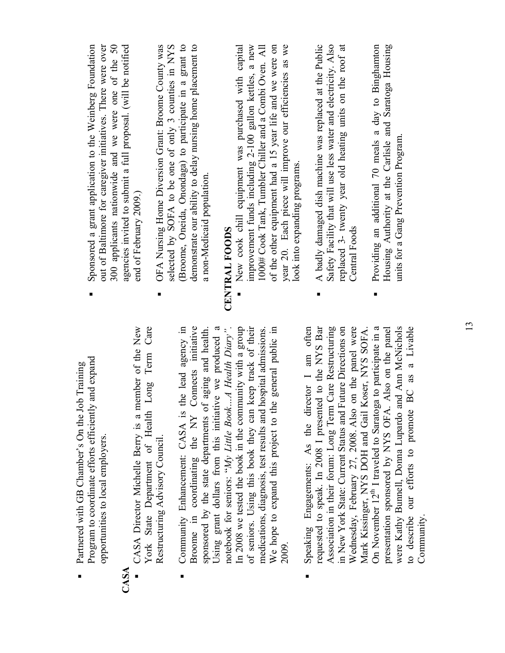|              | Job Training<br>Partnered with GB Chamber's On the                                                                   |                                                                |
|--------------|----------------------------------------------------------------------------------------------------------------------|----------------------------------------------------------------|
|              | Program to coordinate efforts efficiently and expand                                                                 | Sponsored a grant application to the Weinberg Foundation       |
|              | opportunities to local employers.                                                                                    | out of Baltimore for caregiver initiatives. There were over    |
|              |                                                                                                                      | 300 applicants nationwide and we were one of the 50            |
| $\mathbf{S}$ |                                                                                                                      | agencies invited to submit a full proposal. (will be notified  |
|              | member of the New<br>CASA Director Michelle Berry is a                                                               | end of February 2009.)                                         |
|              | Long Term Care<br>York State Department of Health                                                                    |                                                                |
|              | Restructuring Advisory Council.                                                                                      | OFA Nursing Home Diversion Grant: Broome County was            |
|              |                                                                                                                      | selected by SOFA to be one of only 3 counties in NYS           |
|              | the lead agency in<br>Community Enhancement: CASA is                                                                 | (Broome, Oneida, Onondaga) to participate in a grant to        |
|              | Connects initiative<br>Broome in coordinating the NY                                                                 | demonstrate our ability to delay nursing home placement to     |
|              | of aging and health.<br>sponsored by the state departments                                                           | a non-Medicaid population.                                     |
|              | Using grant dollars from this initiative we produced a                                                               |                                                                |
|              | notebook for seniors: " $My$ Little BookA Health Diary".<br>In 2008 we tested the book in the community with a group | CENTRAL FOODS                                                  |
|              |                                                                                                                      | New cook chill equipment was purchased with capital            |
|              | of seniors. Using this book they can keep track of their                                                             | improvement funds including 2-100 gallon kettles, a new        |
|              | medications, diagnosis, test results and hospital admissions.                                                        | 1000# Cook Tank, Tumbler Chiller and a Combi Oven. All         |
|              | the general public in<br>We hope to expand this project to                                                           | of the other equipment had a 15 year life and we were on       |
|              | 2009.                                                                                                                | year 20. Each piece will improve our efficiencies as we        |
|              |                                                                                                                      | look into expanding programs.                                  |
|              | Speaking Engagements: As the director I am often                                                                     |                                                                |
|              | requested to speak. In 2008 I presented to the NYS Bar                                                               | A badly damaged dish machine was replaced at the Public        |
|              | Association in their forum: Long Term Care Restructuring                                                             | Safety Facility that will use less water and electricity. Also |
|              | <b>Future Directions on</b><br>in New York State: Current Status and                                                 | replaced 3- twenty year old heating units on the roof at       |
|              | Wednesday, February 27, 2008. Also on the panel were                                                                 | <b>Central Foods</b>                                           |
|              | Koser, NYS SOFA.<br>Mark Kissinger, NYS DOH and Gail                                                                 |                                                                |
|              | On November 12 <sup>th</sup> I traveled to Saratoga to participate in a                                              | Providing an additional 70 meals a day to Binghamton           |
|              | presentation sponsored by NYS OFA. Also on the panel                                                                 | Housing Authority at the Carlisle and Saratoga Housing         |
|              | and Ann McNichols<br>were Kathy Bunnell, Donna Lupardo                                                               | units for a Gang Prevention Program.                           |
|              | to describe our efforts to promote BC as a Livable                                                                   |                                                                |

**CASA** 

Community.

Community.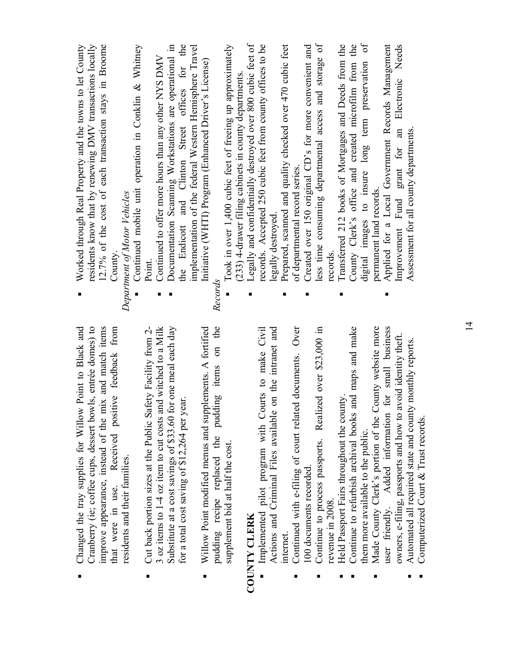| improve appearance, instead of the mix and match items<br>Cranberry (ie; coffee cups, dessert bowls, entrée domes) to<br>Changed the tray supplies for Willow Point to Black and |         | residents know that by renewing DMV transactions locally<br>12.7% of the cost of each transaction stays in Broome<br>Worked through Real Property and the towns to let County |
|----------------------------------------------------------------------------------------------------------------------------------------------------------------------------------|---------|-------------------------------------------------------------------------------------------------------------------------------------------------------------------------------|
| that were in use. Received positive feedback from                                                                                                                                | County  |                                                                                                                                                                               |
| residents and their families.                                                                                                                                                    |         | Department of Motor Vehicles                                                                                                                                                  |
|                                                                                                                                                                                  |         | Continued mobile unit operation in Conklin & Whitney                                                                                                                          |
| Cut back portion sizes at the Public Safety Facility from 2-                                                                                                                     | Point   |                                                                                                                                                                               |
| 3 oz items to 1-4 oz item to cut costs and witched to a Milk                                                                                                                     |         | Continued to offer more hours than any other NYS DMV                                                                                                                          |
| Substitute at a cost savings of \$33.60 for one meal each day                                                                                                                    |         | Documentation Scanning Workstations are operational in                                                                                                                        |
| for a total cost saving of \$12,264 per year.                                                                                                                                    |         | the Endicott and Clinton Street offices for the                                                                                                                               |
|                                                                                                                                                                                  |         | implementation of the federal Western Hemisphere Travel                                                                                                                       |
| Willow Point modified menus and supplements. A fortified                                                                                                                         |         | Initiative (WHTI) Program (Enhanced Driver's License)                                                                                                                         |
| the<br>$\sin$<br>pudding recipe replaced the pudding items                                                                                                                       | Records |                                                                                                                                                                               |
| supplement bid at half the cost.                                                                                                                                                 |         | Took in over 1,400 cubic feet of freeing up approximately                                                                                                                     |
|                                                                                                                                                                                  |         | (233) 4-drawer filing cabinets in county departments.                                                                                                                         |
| <b>COUNTY CLERK</b>                                                                                                                                                              |         | Legally and confidentially destroyed over 800 cubic feet of                                                                                                                   |
| Implemented pilot program with Courts to make Civil                                                                                                                              |         | records. Accepted 250 cubic feet from county offices to be                                                                                                                    |
| on the intranet and<br>Actions and Criminal Files available                                                                                                                      |         | legally destroyed                                                                                                                                                             |
| internet.                                                                                                                                                                        |         | Prepared, scanned and quality checked over 470 cubic feet                                                                                                                     |
| Continued with e-filing of court related documents. Over                                                                                                                         |         | of departmental record series.                                                                                                                                                |
| 100 documents recorded                                                                                                                                                           |         | Created over 150 original CD's for more convenient and                                                                                                                        |
| Continue to process passports. Realized over \$23,000 in                                                                                                                         |         | less time consuming departmental access and storage of                                                                                                                        |
| revenue in 2008                                                                                                                                                                  | records |                                                                                                                                                                               |
| Held Passport Fairs throughout the county.                                                                                                                                       |         | Transferred 212 books of Mortgages and Deeds from the                                                                                                                         |
| and maps and make<br>Continue to refurbish archival books                                                                                                                        |         | County Clerk's office and created microfilm from the                                                                                                                          |
| them more available to the public.                                                                                                                                               | digital | $\sigma$<br>images to insure long term preservation                                                                                                                           |
| County website more<br>Made County Clerk's portion of the                                                                                                                        |         | permanent land records                                                                                                                                                        |
| for small business<br>user friendly. Added information                                                                                                                           |         | Applied for a Local Government Records Management                                                                                                                             |
| owners, e-filing, passports and how to avoid identity theft.                                                                                                                     |         | Electronic Needs<br>Improvement Fund grant for an                                                                                                                             |
| ty monthly reports.<br>Automated all required state and count                                                                                                                    |         | Assessment for all county departments.                                                                                                                                        |
| Computerized Court & Trust records.                                                                                                                                              |         |                                                                                                                                                                               |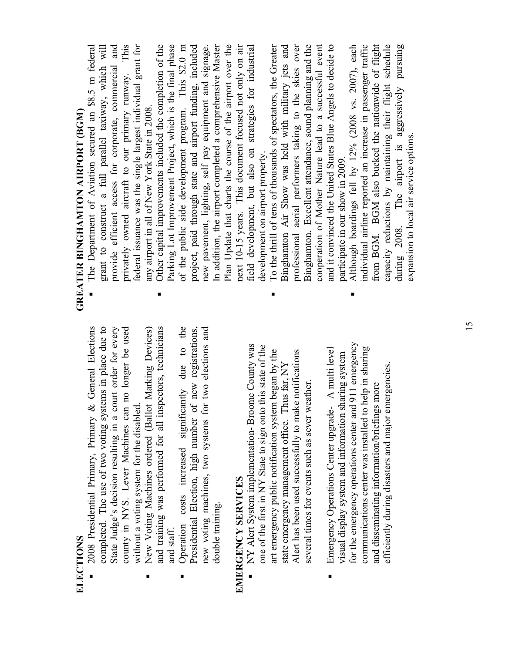- 2008 Presidential Primary, Primary & General Elections completed. The use of two voting systems in place due to State Judge's decision resulting in a court order for every county in NYS. Lever Machines can no longer be used 2008 Presidential Primary, Primary & General Elections completed. The use of two voting systems in place due to State Judge's decision resulting in a court order for every county in NYS. Lever Machines can no longer be used without a voting system for the disabled. without a voting system for the disabled. ■
	- New Voting Machines ordered (Ballot Marking Devices) and training was performed for all inspectors, technicians New Voting Machines ordered (Ballot Marking Devices) and training was performed for all inspectors, technicians and staff. and staff. ■
		- Operation costs increased significantly due to the Presidential Election, high number of new registrations, new voting machines, two systems for two elections and Operation costs increased significantly due to the Presidential Election, high number of new registrations, new voting machines, two systems for two elections and double training. double training. ■

### **EMERGENCY SERVICES**  EMERGENCY SERVICES

■

- NY Alert System implementation- Broome County was NY Alert System implementation-Broome County was one of the first in NY State to sign onto this state of the one of the first in NY State to sign onto this state of the art emergency public notification system began by the art emergency public notification system began by the Alert has been used successfully to make notifications Alert has been used successfully to make notifications state emergency management office. Thus far, NY state emergency management office. Thus far, NY several times for events such as sever weather. several times for events such as sever weather.
- for the emergency operations center and 911 emergency for the emergency operations center and 911 emergency Emergency Operations Center upgrade- A multi level communications center was installed to help in sharing communications center was installed to help in sharing Emergency Operations Center upgrade- A multi level visual display system and information sharing system visual display system and information sharing system efficiently during disasters and major emergencies. efficiently during disasters and major emergencies and disseminating information/briefings more and disseminating information/briefings more  $\blacksquare$

■

# **GREATER BINGHAMTON AIRPORT (BGM) GREATER BINGHAMTON AIRPORT (BGM)**

- The Department of Aviation secured an \$8.5 m federal grant to construct a full parallel taxiway, which will provide efficient access for corporate, commercial and privately owned aircraft to our primary runway. This privately owned aircraft to our primary runway. This federal issuance was the single largest individual grant for federal issuance was the single largest individual grant for grant to construct a full parallel taxiway, which will provide efficient access for corporate, commercial and The Department of Aviation secured an \$8.5 m federal any airport in all of New York State in 2008. any airport in all of New York State in 2008. ■
- Other capital improvements included the completion of the Parking Lot Improvement Project, which is the final phase of the public side development program. This \$2.0 m of the public side development program. This \$2.0 m project, paid through state and airport funding, included new pavement, lighting, self pay equipment and signage. In addition, the airport completed a comprehensive Master In addition, the airport completed a comprehensive Master Plan Update that charts the course of the airport over the Plan Update that charts the course of the airport over the next 10-15 years. This document focused not only on air field development, but also on strategies for industrial Other capital improvements included the completion of the Parking Lot Improvement Project, which is the final phase project, paid through state and airport funding, included next 10-15 years. This document focused not only on air new pavement, lighting, self pay equipment and signage. field development, but also on strategies for industrial development on airport property. development on airport property.  $\blacksquare$ 
	- To the thrill of tens of thousands of spectators, the Greater Binghamton Air Show was held with military jets and professional aerial performers taking to the skies over professional aerial performers taking to the skies over Binghamton. Excellent attendance, sound planning and the Binghamton. Excellent attendance, sound planning and the cooperation of Mother Nature lead to a successful event cooperation of Mother Nature lead to a successful event and it convinced the United States Blue Angels to decide to To the thrill of tens of thousands of spectators, the Greater Binghamton Air Show was held with military jets and and it convinced the United States Blue Angels to decide to participate in our show in 2009. participate in our show in 2009 ■
- Although boardings fell by 12% (2008 vs. 2007), each individual airline reported an increase in passenger traffic individual airline reported an increase in passenger traffic from BGM. BGM also bucked the nationwide of flight from BGM. BGM also bucked the nationwide of flight capacity reductions by maintaining their flight schedule capacity reductions by maintaining their flight schedule during 2008. The airport is aggressively pursuing Although boardings fell by 12% (2008 vs. 2007), each during 2008. The airport is aggressively pursuing expansion to local air service options. expansion to local air service options.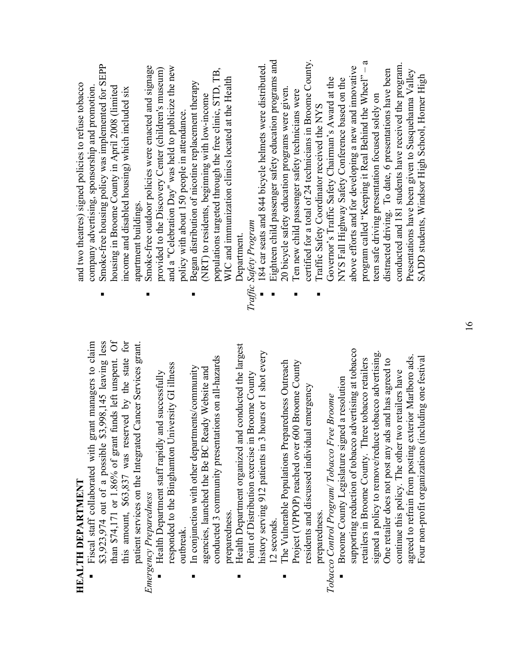| ļ |
|---|
| ļ |
|   |
| ľ |
|   |
|   |

 Fiscal staff collaborated with grant managers to claim \$3,923,974 out of a possible \$3,998,145 leaving less than \$74,171 or 1.86% of grant funds left unspent. Of than \$74,171 or 1.86% of grant funds left unspent. Of this amount, \$63,837 was reserved by the state for this amount, \$63,837 was reserved by the state for \$3,923,974 out of a possible \$3,998,145 leaving less Fiscal staff collaborated with grant managers to claim patient services on the Integrated Cancer Services grant. patient services on the Integrated Cancer Services grant. ■

**Emergency Preparedness** *Emergency Preparedness*  ■

- responded to the Binghamton University GI illness responded to the Binghamton University GI illness Health Department staff rapidly and successfully Health Department staff rapidly and successfully outbreak. outbreak.
- conducted 3 community presentations on all-hazards conducted 3 community presentations on all-hazards In conjunction with other departments/community agencies, launched the Be BC Ready Website and In conjunction with other departments/community agencies, launched the Be BC Ready Website and preparedness. preparedness. ■
- Health Department organized and conducted the largest Health Department organized and conducted the largest history serving 912 patients in 3 hours or 1 shot every history serving 912 patients in 3 hours or 1 shot every Point of Distribution exercise in Broome County Point of Distribution exercise in Broome County 12 seconds. 12 seconds. ■
	- The Vulnerable Populations Preparedness Outreach Project (VPPOP) reached over 600 Broome County The Vulnerable Populations Preparedness Outreach Project (VPPOP) reached over 600 Broome County residents and discussed individual emergency residents and discussed individual emergency preparedness. preparedness. ■

Tobacco Control Program/Tobacco Free Broome *Tobacco Control Program/ Tobacco Free Broome* 

supporting reduction of tobacco advertising at tobacco supporting reduction of tobacco advertising at tobacco signed a policy to remove/reduce tobacco advertising. signed a policy to remove/reduce tobacco advertising. agreed to refrain from posting exterior Marlboro ads. Four non-profit organizations (including one festival retailers in Broome County. Three tobacco retailers agreed to refrain from posting exterior Marlboro ads. Four non-profit organizations (including one festival retailers in Broome County. Three tobacco retailers One retailer does not post any ads and has agreed to One retailer does not post any ads and has agreed to continue this policy. The other two retailers have continue this policy. The other two retailers have Broome County Legislature signed a resolution Broome County Legislature signed a resolution ■

and two theatres) signed policies to refuse tobacco and two theatres) signed policies to refuse tobacco company advertising, sponsorship and promotion. company advertising, sponsorship and promotion.

- Smoke-free housing policy was implemented for SEPP Smoke-free housing policy was implemented for SEPP housing in Broome County in April 2008 (limited income and disabled housing) which included six housing in Broome County in April 2008 (limited income and disabled housing) which included six apartment buildings. apartment buildings. ■
	- Smoke-free outdoor policies were enacted and signage and a "Celebration Day" was held to publicize the new Smoke-free outdoor policies were enacted and signage provided to the Discovery Center (children's museum) and a "Celebration Day" was held to publicize the new provided to the Discovery Center (children's museum) policy with about 150 people in attendance. policy with about 150 people in attendance.  $\blacksquare$ 
		- populations targeted through the free clinic, STD, TB, populations targeted through the free clinic, STD, TB, WIC and immunization clinics located at the Health WIC and immunization clinics located at the Health **Began distribution of nicotine replacement therapy** Began distribution of nicotine replacement therapy (NRT) to residents, beginning with low-income (NRT) to residents, beginning with low-income Department. Department. ■

Traffic Safety Program *Traffic Safety Program* 

■

- 184 car seats and 844 bicycle helmets were distributed. 184 car seats and 844 bicycle helmets were distributed
- Eighteen child passenger safety education programs and Eighteen child passenger safety education programs and 20 bicycle safety education programs were given. 20 bicycle safety education programs were given. ■
	- certified for a total of 24 technicians in Broome County. certified for a total of 24 technicians in Broome County. Ten new child passenger safety technicians were Ten new child passenger safety technicians were ■

■

program called "Keeping it Real Behind the Wheel" – a program called "Keeping it Real Behind the Wheel" - a conducted and 181 students have received the program. conducted and 181 students have received the program. above efforts and for developing a new and innovative above efforts and for developing a new and innovative distracted driving. To date, 6 presentations have been Presentations have been given to Susquehanna Valley distracted driving. To date, 6 presentations have been Presentations have been given to Susquehanna Valley SADD students, Windsor High School, Homer High SADD students, Windsor High School, Homer High Governor's Traffic Safety Chairman's Award at the NYS Fall Highway Safety Conference based on the Governor's Traffic Safety Chairman's Award at the NYS Fall Highway Safety Conference based on the teen safe driving presentation focused solely on teen safe driving presentation focused solely on Traffic Safety Coordinator received the NYS Traffic Safety Coordinator received the NYS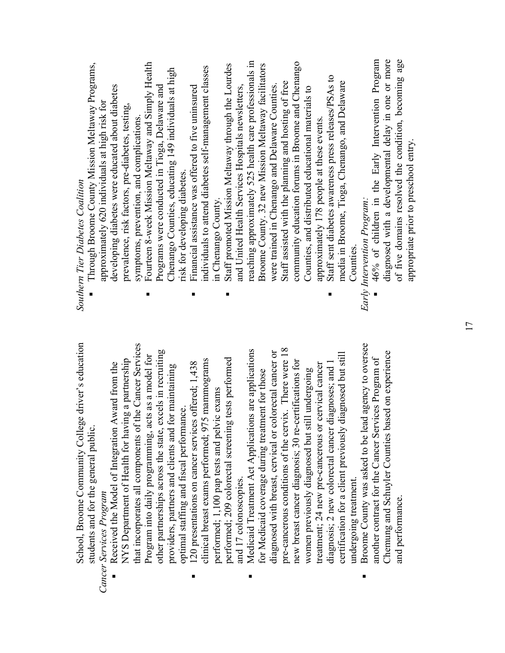School, Broome Community College driver's education School, Broome Community College driver's education students and for the general public. students and for the general public. *Cancer Services Program*  Cancer Services Program

- that incorporates all components of the Cancer Services that incorporates all components of the Cancer Services other partnerships across the state, excels in recruiting other partnerships across the state, excels in recruiting Program into daily programming, acts as a model for Program into daily programming, acts as a model for NYS Department of Health for having a partnership NYS Department of Health for having a partnership Received the Model of Integration Award from the Received the Model of Integration Award from the providers, partners and clients and for maintaining providers, partners and clients and for maintaining optimal staffing and fiscal performance. optimal staffing and fiscal performance. ■
- performed; 209 colorectal screening tests performed clinical breast exams performed; 975 mammograms performed; 209 colorectal screening tests performed clinical breast exams performed; 975 mammograms <sup>120</sup> presentations on cancer services offered; 1,438 120 presentations on cancer services offered; 1,438 performed; 1,100 pap tests and pelvic exams performed; 1,100 pap tests and pelvic exams and 17 colonoscopies. and 17 colonoscopies. ■
- pre-cancerous conditions of the cervix. There were 18 Medicaid Treatment Act Applications are applications diagnosed with breast, cervical or colorectal cancer or pre-cancerous conditions of the cervix. There were 18 Medicaid Treatment Act Applications are applications diagnosed with breast, cervical or colorectal cancer or certification for a client previously diagnosed but still certification for a client previously diagnosed but still new breast cancer diagnosis; 30 re-certifications for diagnosis; 2 new colorectal cancer diagnoses; and 1 new breast cancer diagnosis; 30 re-certifications for treatment; 24 new pre-cancerous or cervical cancer treatment; 24 new pre-cancerous or cervical cancer diagnosis; 2 new colorectal cancer diagnoses; and 1 for Medicaid coverage during treatment for those women previously diagnosed but still undergoing women previously diagnosed but still undergoing for Medicaid coverage during treatment for those undergoing treatment. undergoing treatment. ■
- Broome County was asked to be lead agency to oversee Broome County was asked to be lead agency to oversee Chemung and Schuyler Counties based on experience Chemung and Schuyler Counties based on experience another contract for the Cancer Services Program of another contract for the Cancer Services Program of and performance. and performance. ■

**Southern Tier Diabetes Coalition** *Southern Tier Diabetes Coalition* 

- Through Broome County Mission Meltaway Programs, Through Broome County Mission Meltaway Programs, developing diabetes were educated about diabetes developing diabetes were educated about diabetes approximately 620 individuals at high risk for approximately 620 individuals at high risk for prevalence, risk factors, pre-diabetes, testing, prevalence, risk factors, pre-diabetes, testing, symptoms, prevention, and complications. symptoms, prevention, and complications. ■
- Fourteen 8-week Mission Meltaway and Simply Health Fourteen 8-week Mission Meltaway and Simply Health Chenango Counties, educating 149 individuals at high Chenango Counties, educating 149 individuals at high Programs were conducted in Tioga, Delaware and Programs were conducted in Tioga, Delaware and risk for developing diabetes. risk for developing diabetes. ■
	- individuals to attend diabetes self-management classes individuals to attend diabetes self-management classes **Financial assistance was offered to five uninsured** Financial assistance was offered to five uninsured in Chenango County. in Chenango County. ■
- reaching approximately 525 health care professionals in community education forums in Broome and Chenango reaching approximately 525 health care professionals in Staff promoted Mission Meltaway through the Lourdes Broome County. 32 new Mission Meltaway facilitators community education forums in Broome and Chenango Staff promoted Mission Meltaway through the Lourdes Broome County. 32 new Mission Meltaway facilitators Staff assisted with the planning and hosting of free Staff assisted with the planning and hosting of free were trained in Chenango and Delaware Counties. and United Health Services Hospitals newsletters, and United Health Services Hospitals newsletters, were trained in Chenango and Delaware Counties. Counties, and distributed educational materials to Counties, and distributed educational materials to approximately 178 people at these events. approximately 178 people at these events. ■
	- Staff sent diabetes awareness press releases/PSAs to Staff sent diabetes awareness press releases/PSAs to media in Broome, Tioga, Chenango, and Delaware media in Broome, Tioga, Chenango, and Delaware Counties. Counties. ■

Early Intervention Program: *Early Intervention Program:* 

 46% of children in the Early Intervention Program diagnosed with a developmental delay in one or more of five domains resolved the condition, becoming age 46% of children in the Early Intervention Program diagnosed with a developmental delay in one or more of five domains resolved the condition, becoming age appropriate prior to preschool entry. appropriate prior to preschool entry. ■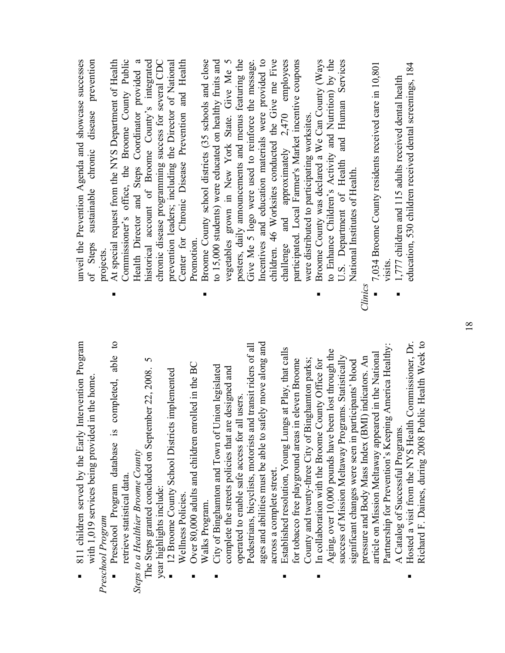| ■ | 811 children served by the Early Intervention Program |
|---|-------------------------------------------------------|
|   | vith 1,019 services being provided in the home.       |
|   | Preschool Program                                     |

 $\mathbf{c}$  Preschool Program database is completed, able to Preschool Program database is completed, able retrieve statistical data. retrieve statistical data. ■

*Steps to a Healthier Broome County*  Steps to a Healthier Broome County

 $\circ$ The Steps granted concluded on September 22, 2008. 5 The Steps granted concluded on September 22, 2008. year highlights include: year highlights include:

- 12 Broome County School Districts implemented 12 Broome County School Districts implemented Wellness Policies. Wellness Policies.  $\overline{a}$
- Over 80,000 adults and children enrolled in the BC Over 80,000 adults and children enrolled in the BC Walks Program. Walks Program. ■

■

- ages and abilities must be able to safely move along and Pedestrians, bicyclists, motorists and transit riders of all ages and abilities must be able to safely move along and Pedestrians, bicyclists, motorists and transit riders of all City of Binghamton and Town of Union legislated City of Binghamton and Town of Union legislated complete the streets policies that are designed and complete the streets policies that are designed and operated to enable safe access for all users. operated to enable safe access for all users. across a complete street. across a complete street. ■
	- **Established resolution, Young Lungs at Play, that calls** Established resolution, Young Lungs at Play, that calls County and twenty-three City of Binghamton parks; for tobacco free playground areas in eleven Broome for tobacco free playground areas in eleven Broome County and twenty-three City of Binghamton parks; ■
- Partnership for Prevention's Keeping America Healthy: Partnership for Prevention's Keeping America Healthy Aging, over 10,000 pounds have been lost through the Aging, over 10,000 pounds have been lost through the article on Mission Meltaway appeared in the National article on Mission Meltaway appeared in the National success of Mission Meltaway Programs. Statistically success of Mission Meltaway Programs. Statistically pressure and Body Mass Index (BMI) indicators. An pressure and Body Mass Index (BMI) indicators. An In collaboration with the Broome County Office for significant changes were seen in participants' blood In collaboration with the Broome County Office for significant changes were seen in participants' blood A Catalog of Successful Programs. A Catalog of Successful Programs. ■
- Hosted a visit from the NYS Health Commissioner, Dr. Richard F. Daines, during 2008 Public Health Week to Hosted a visit from the NYS Health Commissioner, Dr. Richard F. Daines, during 2008 Public Health Week to ■

unveil the Prevention Agenda and showcase successes of Steps sustainable chronic disease prevention unveil the Prevention Agenda and showcase successes sustainable chronic disease prevention of Steps projects.

- At special request from the NYS Department of Health Commissioner's office, the Broome County Public Health Director and Steps Coordinator provided a historical account of Broome County's integrated chronic disease programming success for several CDC prevention leaders; including the Director of National Center for Chronic Disease Prevention and Health Commissioner's office, the Broome County Public At special request from the NYS Department of Health Health Director and Steps Coordinator provided a historical account of Broome County's integrated chronic disease programming success for several CDC prevention leaders; including the Director of National Center for Chronic Disease Prevention and Health Promotion. Promotion.  $\blacksquare$
- Broome County school districts (35 schools and close to 15,000 students) were educated on healthy fruits and vegetables grown in New York State. Give Me 5 posters, daily announcements and menus featuring the Give Me 5 logo were used to reinforce the message. Incentives and education materials were provided to children. 46 Worksites conducted the Give me Five challenge and approximately 2,470 employees participated. Local Farmer's Market incentive coupons to 15,000 students) were educated on healthy fruits and posters, daily announcements and menus featuring the Incentives and education materials were provided to children. 46 Worksites conducted the Give me Five challenge and approximately  $2,470$  employees Broome County school districts (35 schools and close vegetables grown in New York State. Give Me 5 participated. Local Farmer's Market incentive coupons Give Me 5 logo were used to reinforce the message. were distributed to participating worksites. were distributed to participating worksites.
	- $\blacksquare$  Broome County was declared a We Can County (Ways to Enhance Children's Activity and Nutrition) by the U.S. Department of Health and Human Services to Enhance Children's Activity and Nutrition) by the U.S. Department of Health and Human Services Broome County was declared a We Can County (Ways National Institutes of Health. National Institutes of Health. ■

*Clinics* 

- $\blacksquare$  7,034 Broome County residents received care in 10,801 7,034 Broome County residents received care in 10,801 visits. ■
- education, 530 children received dental screenings, 184 education, 530 children received dental screenings, 184  $\blacksquare$  1,777 children and 115 adults received dental health 1,777 children and 115 adults received dental health

■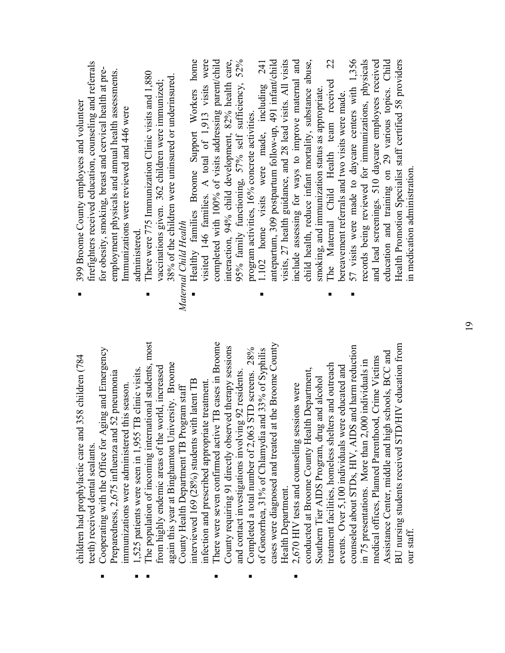| children had prophylactic care and 358 children (784 |                                  | <br>            |
|------------------------------------------------------|----------------------------------|-----------------|
|                                                      |                                  |                 |
|                                                      |                                  |                 |
|                                                      |                                  |                 |
|                                                      |                                  |                 |
|                                                      |                                  |                 |
|                                                      |                                  |                 |
|                                                      |                                  |                 |
|                                                      |                                  |                 |
|                                                      |                                  |                 |
|                                                      |                                  |                 |
|                                                      |                                  |                 |
|                                                      |                                  |                 |
|                                                      |                                  |                 |
|                                                      |                                  |                 |
|                                                      |                                  |                 |
|                                                      | teeth) received dental sealants. | $\overline{(\}$ |

 $\blacksquare$  Cooperating with the Office for Aging and Emergency Cooperating with the Office for Aging and Emergency Preparedness, 2,675 influenza and 52 pneumonia Preparedness, 2,675 influenza and 52 pneumonia mmunizations were administered this season. immunizations were administered this season.

■

1,525 patients were seen in 1,955 TB clinic visits. 1,525 patients were seen in 1,955 TB clinic visits. ■

■

- The population of incoming international students, most The population of incoming international students, most again this year at Binghamton University. Broome again this year at Binghamton University. Broome from highly endemic areas of the world, increased from highly endemic areas of the world, increased interviewed 169 (28%) students with latent TB infection and prescribed appropriate treatment. interviewed 169 (28%) students with latent TB infection and prescribed appropriate treatment. County Health Department TB Program staff County Health Department TB Program staff
- There were seven confirmed active TB cases in Broome There were seven confirmed active TB cases in Broome County requiring 91 directly observed therapy sessions County requiring 91 directly observed therapy sessions and contact investigations involving 92 residents. and contact investigations involving 92 residents. ■
	- cases were diagnosed and treated at the Broome County cases were diagnosed and treated at the Broome County Completed a total number of 2,063 STD screens. 28%  $\blacksquare$  Completed a total number of 2,063 STD screens. 28% of Gonorrhea, 31% of Chlamydia and 33% of Syphilis of Gonorrhea, 31% of Chlamydia and 33% of Syphilis Health Department. Health Department. ■

■

BU nursing students received STD/HIV education from counseled about STDs, HIV, AIDS and harm reduction BU nursing students received STD/HIV education from counseled about STDs, HIV, AIDS and harm reduction Assistance Center, middle and high schools, BCC and Assistance Center, middle and high schools, BCC and medical offices, Planned Parenthood, Crime Victims medical offices, Planned Parenthood, Crime Victims in 75 presentations. More than 2,000 individuals in in 75 presentations. More than 2,000 individuals in treatment facilities, homeless shelters and outreach treatment facilities, homeless shelters and outreach events. Over 5,100 individuals were educated and events. Over 5,100 individuals were educated and conducted at Broome County Health Department, conducted at Broome County Health Department, Southern Tier AIDS Program, drug and alcohol Southern Tier AIDS Program, drug and alcohol ■ 2,670 HIV tests and counseling sessions were 2,670 HIV tests and counseling sessions were our staff.

- firefighters received education, counseling and referrals firefighters received education, counseling and referrals for obesity, smoking, breast and cervical health at preemployment physicals and annual health assessments. for obesity, smoking, breast and cervical health at preemployment physicals and annual health assessments. 399 Broome County employees and volunteer 399 Broome County employees and volunteer Immunizations were reviewed and 446 were Immunizations were reviewed and 446 were administered. administered. ■
- **There were 775 Immunization Clinic visits and 1,880** There were 775 Immunization Clinic visits and 1,880 38% of the children were uninsured or underinsured. 38% of the children were uninsured or underinsured. vaccinations given. 362 children were immunized; vaccinations given. 362 children were immunized; Maternal Child Health *Maternal Child Health*   $\blacksquare$

- Healthy families Broome Support Workers home visited 146 families. A total of 1,913 visits were completed with 100% of visits addressing parent/child interaction, 94% child development, 82% health care, 95% family functioning, 57% self sufficiency, 52% completed with 100% of visits addressing parent/child Healthy families Broome Support Workers home visited 146 families. A total of 1,913 visits were interaction, 94% child development, 82% health care, 95% family functioning, 57% self sufficiency, 52% program activities, 16% concrete activities. program activities, 16% concrete activities. ■
	- **1.102** home visits were made, including 241 antepartum, 309 postpartum follow-up, 491 infant/child visits, 27 health guidance, and 28 lead visits. All visits include assessing for ways to improve maternal and child health, reduce infant mortality, substance abuse, visits, 27 health guidance, and 28 lead visits. All visits include assessing for ways to improve maternal and antepartum, 309 postpartum follow-up, 491 infant/child child health, reduce infant mortality, substance abuse, 241 home visits were made, including smoking, and immunization status as appropriate. smoking, and immunization status as appropriate. 1.102 ■
		- The Maternal Child Health team received 22 22 team received bereavement referrals and two visits were made. bereavement referrals and two visits were made. The Maternal Child Health ■ ■
- $\blacksquare$  57 visits were made to daycare centers with 1,356 records being reviewed for immunizations, physicals and lead screenings. 510 daycare employees received education and training on 29 various topics. Child Health Promotion Specialist staff certified 58 providers 57 visits were made to daycare centers with 1,356 records being reviewed for immunizations, physicals education and training on 29 various topics. Child Health Promotion Specialist staff certified 58 providers and lead screenings. 510 daycare employees received in medication administration. in medication administration.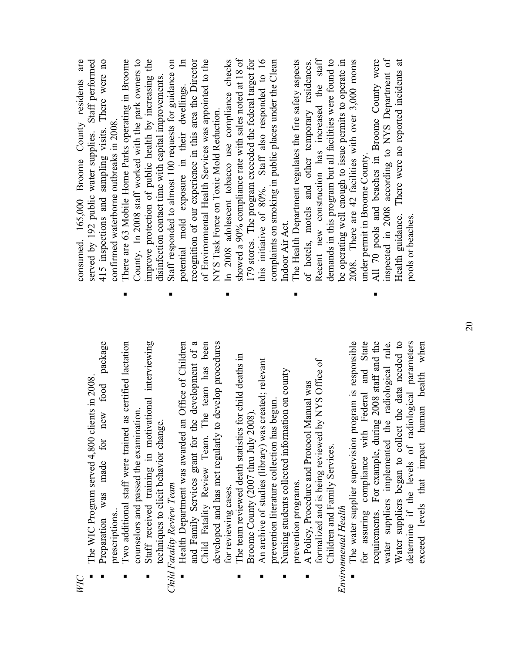*WIC*

- $\blacksquare$  The WIC Program served 4,800 clients in 2008. The WIC Program served 4,800 clients in 2008. ■
- Preparation was made for new food package Preparation was made for new food package prescriptions.. prescriptions. ■
	- Two additional staff were trained as certified lactation Iwo additional staff were trained as certified lactation counselors and passed the examination. counselors and passed the examination ■
		- Staff received training in motivational interviewing Staff received training in motivational interviewing techniques to elicit behavior change. techniques to elicit behavior change. ■

### *Child Fatality Review Team*  Child Fatality Review Team

- Health Department was awarded an Office of Children and Family Services grant for the development of a Child Fatality Review Team. The team has been Child Fatality Review Team. The team has been developed and has met regularly to develop procedures and Family Services grant for the development of a developed and has met regularly to develop procedures Health Department was awarded an Office of Children for reviewing cases. for reviewing cases. ■
	- The team reviewed death statistics for child deaths in The team reviewed death statistics for child deaths in Broome County (2007 thru July 2008). Broome County (2007 thru July 2008) ■
		- An archive of studies (library) was created; relevant An archive of studies (library) was created; relevant prevention literature collection has begun. prevention literature collection has begun. ■
			- Nursing students collected information on county Nursing students collected information on county prevention programs. prevention programs. ■
- formalized and is being reviewed by NYS Office of formalized and is being reviewed by NYS Office of A Policy, Procedure and Protocol Manual was A Policy, Procedure and Protocol Manual was Children and Family Services. Children and Family Services. ■

#### Environmental Health *Environmental Health*

 The water supplier supervision program is responsible for assuring compliance with Federal and State for assuring compliance with Federal and State For example, during 2008 staff and the requirements. For example, during 2008 staff and the water suppliers implemented the radiological rule. Water suppliers began to collect the data needed to determine if the levels of radiological parameters exceed levels that impact human health when The water supplier supervision program is responsible Water suppliers began to collect the data needed to determine if the levels of radiological parameters exceed levels that impact human health when water suppliers implemented the radiological rule. requirements. ■

consumed. 165,000 Broome County residents are served by 192 public water supplies. Staff performed 415 inspections and sampling visits. There were no 415 inspections and sampling visits. There were no consumed. 165,000 Broome County residents are Staff performed confirmed waterborne outbreaks in 2008. confirmed waterborne outbreaks in 2008. served by 192 public water supplies.

- There are 63 Mobile Home Parks operating in Broome County. In 2008 staff worked with the park owners to improve protection of public health by increasing the County. In 2008 staff worked with the park owners to improve protection of public health by increasing the There are 63 Mobile Home Parks operating in Broome disinfection contact time with capital improvements. disinfection contact time with capital improvements. ■
	- Staff responded to almost 100 requests for guidance on potential mold exposure in their dwellings. In recognition of our experience in this area the Director of Environmental Health Services was appointed to the recognition of our experience in this area the Director of Environmental Health Services was appointed to the Staff responded to almost 100 requests for guidance on potential mold exposure in their dwellings. NYS Task Force on Toxic Mold Reduction. NYS Task Force on Toxic Mold Reduction.

■

- In 2008 adolescent tobacco use compliance checks showed a 90% compliance rate with sales noted at 18 of 179 stores. The program exceeded the federal target for this initiative of 80%. Staff also responded to 16 complaints on smoking in public places under the Clean In 2008 adolescent tobacco use compliance checks showed a 90% compliance rate with sales noted at 18 of 179 stores. The program exceeded the federal target for this initiative of 80%. Staff also responded to 16 complaints on smoking in public places under the Clean Indoor Air Act. Indoor Air Act. ■
	- The Health Department regulates the fire safety aspects of hotels, motels and other temporary residences. Recent new construction has increased the staff Recent new construction has increased the staff demands in this program but all facilities were found to be operating well enough to issue permits to operate in 2008. There are 42 facilities with over 3,000 rooms The Health Department regulates the fire safety aspects demands in this program but all facilities were found to be operating well enough to issue permits to operate in 2008. There are 42 facilities with over 3,000 rooms of hotels, motels and other temporary residences. under permit in Broome County. under permit in Broome County. ■
		- All 70 pools and beaches in Broome County were inspected in 2008 according to NYS Department of Health guidance. There were no reported incidents at All 70 pools and beaches in Broome County were inspected in 2008 according to NYS Department of Health guidance. There were no reported incidents at pools or beaches. pools or beaches.  $\blacksquare$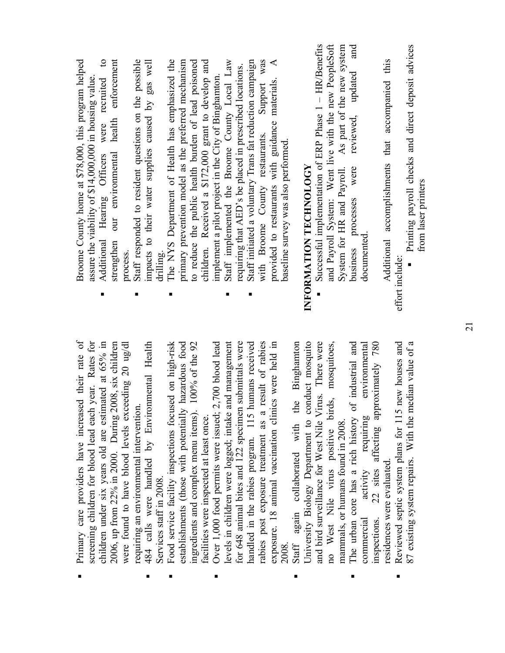| Primary care providers have increased their rate of<br>screening children for blood lead each year. Rates for<br>484 calls were handled by Environmental Health<br>children under six years old are estimated at 65% in<br>2006, up from 22% in 2000. During 2008, six children<br>were found to have blood levels exceeding 20 ug/dl<br>requiring an environmental intervention<br>Services staff in 2008. | п              | $\mathbf{c}$<br>strengthen our environmental health enforcement<br>Staff responded to resident questions on the possible<br>Broome County home at \$78,000, this program helped<br>impacts to their water supplies caused by gas well<br>assure the viability of \$14,000,000 in housing value.<br>Additional Hearing Officers were recruited<br>process.<br>drilling |
|-------------------------------------------------------------------------------------------------------------------------------------------------------------------------------------------------------------------------------------------------------------------------------------------------------------------------------------------------------------------------------------------------------------|----------------|-----------------------------------------------------------------------------------------------------------------------------------------------------------------------------------------------------------------------------------------------------------------------------------------------------------------------------------------------------------------------|
| Food service facility inspections focused on high-risk<br>establishments (those with potentially hazardous food<br>$.100\%$ of the 92<br>ingredients and complex menu items)<br>facilities were inspected at least once.                                                                                                                                                                                    |                | The NYS Department of Health has emphasized the<br>children. Received a \$172,000 grant to develop and<br>primary prevention model as the preferred mechanism<br>to reduce the public health burden of lead poisoned                                                                                                                                                  |
| $2,700$ blood lead<br>for 648 animal bites and 122 specimen submittals were<br>handled in the rabies program. 115 humans received<br>and management<br>Over 1,000 food permits were issued;<br>levels in children were logged; intake                                                                                                                                                                       | п              | Staff initiated a voluntary Trans fat reduction campaign<br>Staff implemented the Broome County Local Law<br>requiring that AED's be placed in prescribed locations.<br>implement a pilot project in the City of Binghamton                                                                                                                                           |
| rabies post exposure treatment as a result of rabies<br>exposure. 18 animal vaccination clinics were held in<br>2008.                                                                                                                                                                                                                                                                                       |                | Support was<br>$\blacktriangleleft$<br>provided to restaurants with guidance materials.<br>with Broome County restaurants.<br>baseline survey was also performed.                                                                                                                                                                                                     |
| the Binghamton<br>University Biology Department to conduct mosquito<br>and bird surveillance for West Nile Virus. There were<br>no West Nile virus positive birds, mosquitoes,<br>mammals, or humans found in 2008.<br>Staff again collaborated with                                                                                                                                                        |                | Successful implementation of ERP Phase 1 - HR/Benefits<br>and Payroll System: Went live with the new PeopleSoft<br>As part of the new system<br>System for HR and Payroll.<br>INFORMATION TECHNOLOGY                                                                                                                                                                  |
| of industrial and<br>22 sites affecting approximately 780<br>environmental<br>requiring<br>The urban core has a rich history<br>activity<br>inspections.<br>commercial                                                                                                                                                                                                                                      |                | and<br>updated<br>reviewed,<br>were<br>business processes<br>documented                                                                                                                                                                                                                                                                                               |
| Reviewed septic system plans for 115 new houses and<br>median value of a<br>87 existing system repairs. With the<br>residences were evaluated.                                                                                                                                                                                                                                                              | effort include | Printing payroll checks and direct deposit advices<br>Additional accomplishments that accompanied this<br>from laser printers                                                                                                                                                                                                                                         |

 $\blacksquare$ 

 $\blacksquare$ 

 $\blacksquare$ 

 $\blacksquare$ 

 $\blacksquare$ 

 $\blacksquare$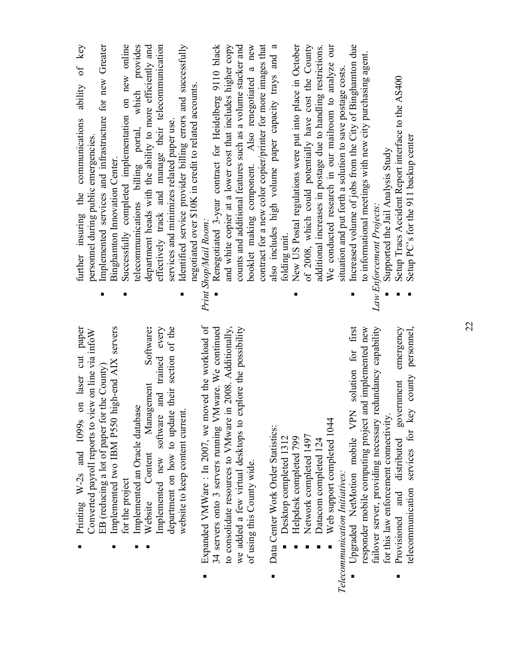| Implemented two IBM P550 high-end AIX servers<br>paper<br>Converted payroll reports to view on line via infoW<br>on laser cut<br>EB (reducing a lot of paper for the County)<br>Printing $W-2s$ and 1099s | Implemented services and infrastructure for new Greater<br>ability of key<br>further insuring the communications<br>personnel during public emergencies.<br>Binghamton Innovation Center. |
|-----------------------------------------------------------------------------------------------------------------------------------------------------------------------------------------------------------|-------------------------------------------------------------------------------------------------------------------------------------------------------------------------------------------|
| Implemented an Oracle database<br>for the project                                                                                                                                                         | Successfully completed implementation on new online<br>telecommunications billing portal, which provides                                                                                  |
| Software:<br>and trained every<br>Management<br>Implemented new software<br>Content<br>Website                                                                                                            | effectively track and manage their telecommunication<br>department heads with the ability to more efficiently and                                                                         |
| department on how to update their section of the<br>website to keep content current                                                                                                                       | Identified service provider billing errors and successfully<br>negotiated over \$10K in credit to related accounts.<br>services and minimizes related paper use.                          |
| Expanded VMWare : In 2007, we moved the workload of                                                                                                                                                       | Print Shop/Mail Room:                                                                                                                                                                     |
| to consolidate resources to VMware in 2008. Additionally,<br>34 servers onto 3 servers running VMware. We continued                                                                                       | Renegotiated 3-year contract for Heidelberg 9110 black<br>and white copier at a lower cost that includes higher copy                                                                      |
| we added a few virtual desktops to explore the possibility                                                                                                                                                | counts and additional features such as a volume stacker and                                                                                                                               |
| of using this County wide.                                                                                                                                                                                | contract for a new color copier/printer for more images that<br>booklet making component. Also renegotiated a new                                                                         |
| Data Center Work Order Statistics:                                                                                                                                                                        | also includes high volume paper capacity trays and a                                                                                                                                      |
| Desktop completed 1312<br>Helpdesk completed 799                                                                                                                                                          | New US Postal regulations were put into place in October<br>folding unit.                                                                                                                 |
| Network completed 1497                                                                                                                                                                                    | of 2008, which could potentially have cost the County                                                                                                                                     |
| Datacom completed 124                                                                                                                                                                                     | additional increases in postage due to handling restrictions.                                                                                                                             |
| Web support completed 1044                                                                                                                                                                                | We conducted research in our mailroom to analyze our                                                                                                                                      |
| Telecommunication Initiatives:                                                                                                                                                                            | situation and put forth a solution to save postage costs.                                                                                                                                 |
| solution for first<br>Upgraded NetMotion mobile VPN                                                                                                                                                       | Increased volume of jobs from the City of Binghamton due                                                                                                                                  |
| failover server, providing necessary redundancy capability<br>responder mobile computing project and implemented new                                                                                      | to informational meetings with new city purchasing agent.<br>Law Enforcement Projects:                                                                                                    |
| for this law enforcement connectivity.                                                                                                                                                                    | Supported the Jail Analysis Study                                                                                                                                                         |
| emergency<br>personnel,<br>county<br>Provisioned and distributed government<br>telecommunication services for key                                                                                         | Setup Tracs Accident Report interface to the AS400<br>Setup PC's for the 911 backup center                                                                                                |
|                                                                                                                                                                                                           |                                                                                                                                                                                           |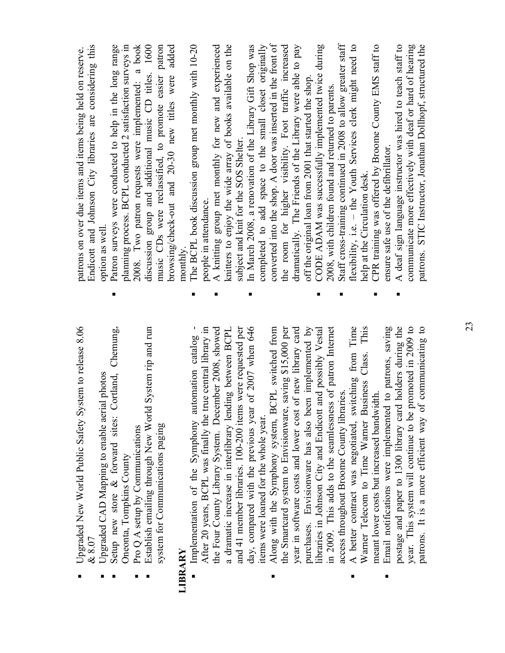| In March 2008, a renovation of the Library Gift Shop was<br>CODE ADAM was successfully implemented twice during<br>CPR training was offered by Broome County EMS staff to<br>planning process. BCPL conducted 2 satisfaction surveys in<br>discussion group and additional music CD titles. 1600<br>communicate more effectively with deaf or hard of hearing<br>browsing/check-out and 20-30 new titles were<br>off the original loan from 2001 that started the shop<br>2008, with children found and returned to parents.<br>subject and knit for the SOS Shelter.<br>ensure safe use of the defibrillator.<br>help at the Circulation desk.<br>people in attendance.<br>option as well<br>monthly.<br>п<br>■<br>п<br>■<br>This<br>holders during the<br>year. This system will continue to be promoted in 2009 to<br>communicating to<br>System rip and run<br>After 20 years, BCPL was finally the true central library in<br>a dramatic increase in interlibrary lending between BCPL<br>of 2007 when 646<br>Along with the Symphony system, BCPL switched from<br>purchases. Envisionware has also been implemented by<br>A better contract was negotiated, switching from Time<br>Email notifications were implemented to patrons, saving<br>Chemung,<br>the Four County Library System. December 2008, showed<br>and 41 member libraries. 100-200 items were requested per<br>the Smartcard system to Envisionware, saving \$15,000 per<br>of new library card<br>in 2009. This adds to the seamlessness of patron Internet<br>and possibly Vestal<br>Implementation of the Symphony automation catalog<br>Warner Telecom to Time Warner Business Class.<br>Setup new store & forward sites: Cortland,<br>Upgraded CAD Mapping to enable aerial photos<br>access throughout Broome County libraries.<br>meant lower costs but increased bandwidth<br>day, compared with the previous year<br>postage and paper to 1300 library card<br>patrons. It is a more efficient way of<br>Establish emailing through New World<br>ibraries in Johnson City and Endicott<br>year in software costs and lower cost<br>tems were loaned for the whole year.<br>system for Communications paging<br>Pro Q A setup by Communications<br>Oneonta, Tompkins County<br>LIBRARY | Upgraded New World Public Safety System to release 8.06<br>$\propto 8.07$ | Endicott and Johnson City libraries are considering this<br>patrons on over due items and items being held on reserve. |
|------------------------------------------------------------------------------------------------------------------------------------------------------------------------------------------------------------------------------------------------------------------------------------------------------------------------------------------------------------------------------------------------------------------------------------------------------------------------------------------------------------------------------------------------------------------------------------------------------------------------------------------------------------------------------------------------------------------------------------------------------------------------------------------------------------------------------------------------------------------------------------------------------------------------------------------------------------------------------------------------------------------------------------------------------------------------------------------------------------------------------------------------------------------------------------------------------------------------------------------------------------------------------------------------------------------------------------------------------------------------------------------------------------------------------------------------------------------------------------------------------------------------------------------------------------------------------------------------------------------------------------------------------------------------------------------------------------------------------------------------------------------------------------------------------------------------------------------------------------------------------------------------------------------------------------------------------------------------------------------------------------------------------------------------------------------------------------------------------------------------------------------------------------------------------------------------------------------------------------------------------------------------|---------------------------------------------------------------------------|------------------------------------------------------------------------------------------------------------------------|
|                                                                                                                                                                                                                                                                                                                                                                                                                                                                                                                                                                                                                                                                                                                                                                                                                                                                                                                                                                                                                                                                                                                                                                                                                                                                                                                                                                                                                                                                                                                                                                                                                                                                                                                                                                                                                                                                                                                                                                                                                                                                                                                                                                                                                                                                        |                                                                           | Patron surveys were conducted to help in the long range                                                                |
|                                                                                                                                                                                                                                                                                                                                                                                                                                                                                                                                                                                                                                                                                                                                                                                                                                                                                                                                                                                                                                                                                                                                                                                                                                                                                                                                                                                                                                                                                                                                                                                                                                                                                                                                                                                                                                                                                                                                                                                                                                                                                                                                                                                                                                                                        |                                                                           | 2008. Two patron requests were implemented: a book                                                                     |
|                                                                                                                                                                                                                                                                                                                                                                                                                                                                                                                                                                                                                                                                                                                                                                                                                                                                                                                                                                                                                                                                                                                                                                                                                                                                                                                                                                                                                                                                                                                                                                                                                                                                                                                                                                                                                                                                                                                                                                                                                                                                                                                                                                                                                                                                        |                                                                           | music CDs were reclassified, to promote easier patron<br>added                                                         |
|                                                                                                                                                                                                                                                                                                                                                                                                                                                                                                                                                                                                                                                                                                                                                                                                                                                                                                                                                                                                                                                                                                                                                                                                                                                                                                                                                                                                                                                                                                                                                                                                                                                                                                                                                                                                                                                                                                                                                                                                                                                                                                                                                                                                                                                                        |                                                                           |                                                                                                                        |
|                                                                                                                                                                                                                                                                                                                                                                                                                                                                                                                                                                                                                                                                                                                                                                                                                                                                                                                                                                                                                                                                                                                                                                                                                                                                                                                                                                                                                                                                                                                                                                                                                                                                                                                                                                                                                                                                                                                                                                                                                                                                                                                                                                                                                                                                        |                                                                           | The BCPL book discussion group met monthly with 10-20                                                                  |
|                                                                                                                                                                                                                                                                                                                                                                                                                                                                                                                                                                                                                                                                                                                                                                                                                                                                                                                                                                                                                                                                                                                                                                                                                                                                                                                                                                                                                                                                                                                                                                                                                                                                                                                                                                                                                                                                                                                                                                                                                                                                                                                                                                                                                                                                        |                                                                           | A knitting group met monthly for new and experienced                                                                   |
|                                                                                                                                                                                                                                                                                                                                                                                                                                                                                                                                                                                                                                                                                                                                                                                                                                                                                                                                                                                                                                                                                                                                                                                                                                                                                                                                                                                                                                                                                                                                                                                                                                                                                                                                                                                                                                                                                                                                                                                                                                                                                                                                                                                                                                                                        |                                                                           | knitters to enjoy the wide array of books available on the                                                             |
|                                                                                                                                                                                                                                                                                                                                                                                                                                                                                                                                                                                                                                                                                                                                                                                                                                                                                                                                                                                                                                                                                                                                                                                                                                                                                                                                                                                                                                                                                                                                                                                                                                                                                                                                                                                                                                                                                                                                                                                                                                                                                                                                                                                                                                                                        |                                                                           |                                                                                                                        |
|                                                                                                                                                                                                                                                                                                                                                                                                                                                                                                                                                                                                                                                                                                                                                                                                                                                                                                                                                                                                                                                                                                                                                                                                                                                                                                                                                                                                                                                                                                                                                                                                                                                                                                                                                                                                                                                                                                                                                                                                                                                                                                                                                                                                                                                                        |                                                                           | completed to add space to the small closet originally                                                                  |
|                                                                                                                                                                                                                                                                                                                                                                                                                                                                                                                                                                                                                                                                                                                                                                                                                                                                                                                                                                                                                                                                                                                                                                                                                                                                                                                                                                                                                                                                                                                                                                                                                                                                                                                                                                                                                                                                                                                                                                                                                                                                                                                                                                                                                                                                        |                                                                           | converted into the shop. A door was inserted in the front of                                                           |
|                                                                                                                                                                                                                                                                                                                                                                                                                                                                                                                                                                                                                                                                                                                                                                                                                                                                                                                                                                                                                                                                                                                                                                                                                                                                                                                                                                                                                                                                                                                                                                                                                                                                                                                                                                                                                                                                                                                                                                                                                                                                                                                                                                                                                                                                        |                                                                           | the room for higher visibility. Foot traffic increased                                                                 |
|                                                                                                                                                                                                                                                                                                                                                                                                                                                                                                                                                                                                                                                                                                                                                                                                                                                                                                                                                                                                                                                                                                                                                                                                                                                                                                                                                                                                                                                                                                                                                                                                                                                                                                                                                                                                                                                                                                                                                                                                                                                                                                                                                                                                                                                                        |                                                                           | dramatically. The Friends of the Library were able to pay                                                              |
|                                                                                                                                                                                                                                                                                                                                                                                                                                                                                                                                                                                                                                                                                                                                                                                                                                                                                                                                                                                                                                                                                                                                                                                                                                                                                                                                                                                                                                                                                                                                                                                                                                                                                                                                                                                                                                                                                                                                                                                                                                                                                                                                                                                                                                                                        |                                                                           |                                                                                                                        |
|                                                                                                                                                                                                                                                                                                                                                                                                                                                                                                                                                                                                                                                                                                                                                                                                                                                                                                                                                                                                                                                                                                                                                                                                                                                                                                                                                                                                                                                                                                                                                                                                                                                                                                                                                                                                                                                                                                                                                                                                                                                                                                                                                                                                                                                                        |                                                                           |                                                                                                                        |
|                                                                                                                                                                                                                                                                                                                                                                                                                                                                                                                                                                                                                                                                                                                                                                                                                                                                                                                                                                                                                                                                                                                                                                                                                                                                                                                                                                                                                                                                                                                                                                                                                                                                                                                                                                                                                                                                                                                                                                                                                                                                                                                                                                                                                                                                        |                                                                           | Staff cross-training continued in 2008 to allow greater staff                                                          |
|                                                                                                                                                                                                                                                                                                                                                                                                                                                                                                                                                                                                                                                                                                                                                                                                                                                                                                                                                                                                                                                                                                                                                                                                                                                                                                                                                                                                                                                                                                                                                                                                                                                                                                                                                                                                                                                                                                                                                                                                                                                                                                                                                                                                                                                                        |                                                                           | flexibility, i.e. - the Youth Services clerk might need to                                                             |
|                                                                                                                                                                                                                                                                                                                                                                                                                                                                                                                                                                                                                                                                                                                                                                                                                                                                                                                                                                                                                                                                                                                                                                                                                                                                                                                                                                                                                                                                                                                                                                                                                                                                                                                                                                                                                                                                                                                                                                                                                                                                                                                                                                                                                                                                        |                                                                           |                                                                                                                        |
|                                                                                                                                                                                                                                                                                                                                                                                                                                                                                                                                                                                                                                                                                                                                                                                                                                                                                                                                                                                                                                                                                                                                                                                                                                                                                                                                                                                                                                                                                                                                                                                                                                                                                                                                                                                                                                                                                                                                                                                                                                                                                                                                                                                                                                                                        |                                                                           |                                                                                                                        |
|                                                                                                                                                                                                                                                                                                                                                                                                                                                                                                                                                                                                                                                                                                                                                                                                                                                                                                                                                                                                                                                                                                                                                                                                                                                                                                                                                                                                                                                                                                                                                                                                                                                                                                                                                                                                                                                                                                                                                                                                                                                                                                                                                                                                                                                                        |                                                                           | A deaf sign language instructor was hired to teach staff to                                                            |
|                                                                                                                                                                                                                                                                                                                                                                                                                                                                                                                                                                                                                                                                                                                                                                                                                                                                                                                                                                                                                                                                                                                                                                                                                                                                                                                                                                                                                                                                                                                                                                                                                                                                                                                                                                                                                                                                                                                                                                                                                                                                                                                                                                                                                                                                        |                                                                           | patrons. STIC Instructor, Jonathan Dollhopf, structured the                                                            |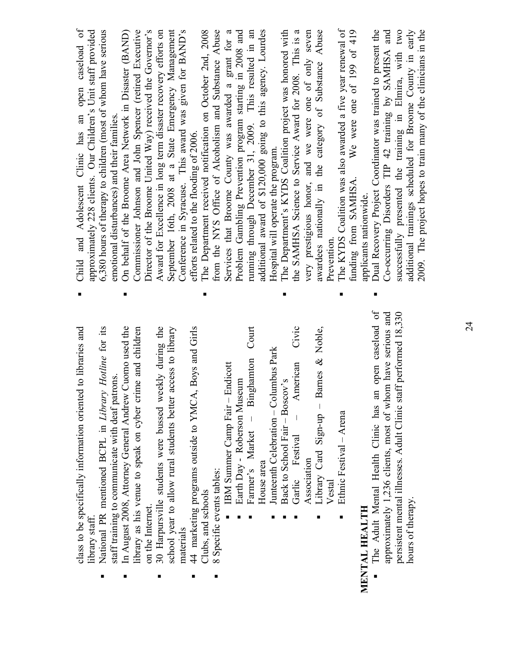| class to be specifically information oriented to libraries and<br>library staff.                                     |   | open caseload of<br>approximately 228 clients. Our Children's Unit staff provided<br>Child and Adolescent Clinic has an     |
|----------------------------------------------------------------------------------------------------------------------|---|-----------------------------------------------------------------------------------------------------------------------------|
| National PR mentioned BCPL in Library Hotline for its                                                                |   | 6,380 hours of therapy to children (most of whom have serious                                                               |
| In August 2008, Attorney General Andrew Cuomo used the<br>staff training to communicate with deaf patrons            |   | On behalf of the Broome Area Network in Disaster (BAND)<br>emotional disturbances) and their families                       |
| library as his venue to speak on cyber crime and children                                                            |   | Commissioner Johnson and John Spencer (retired Executive                                                                    |
| on the Internet.                                                                                                     |   | Director of the Broome United Way) received the Governor's                                                                  |
| 30 Harpursville students were bussed weekly during the                                                               |   | Award for Excellence in long term disaster recovery efforts on                                                              |
| access to library<br>school year to allow rural students better                                                      |   | September 16th, 2008 at a State Emergency Management                                                                        |
| materials                                                                                                            |   | Conference in Syracuse. This award was given for BAND's                                                                     |
| 44 marketing programs outside to YMCA, Boys and Girls                                                                |   | efforts related to the flooding of 2006.                                                                                    |
| Clubs, and schools                                                                                                   |   | The Department received notification on October 2nd, 2008                                                                   |
| 8 Specific events tables:                                                                                            |   | from the NYS Office of Alcoholism and Substance Abuse                                                                       |
| IBM Summer Camp Fair - Endicott                                                                                      |   | Services that Broome County was awarded a grant for a                                                                       |
| Earth Day - Roberson Museum                                                                                          |   | Problem Gambling Prevention program starting in 2008 and                                                                    |
| Binghamton Court<br>Farmer's Market -                                                                                |   | running through December 31, 2009. This resulted in an                                                                      |
| House area                                                                                                           |   | additional award of \$120,000 going to this agency. Lourdes                                                                 |
| Junteenth Celebration - Columbus Park                                                                                |   | Hospital will operate the program.                                                                                          |
| Back to School Fair - Boscov's                                                                                       |   | The Department's KYDS Coalition project was honored with                                                                    |
| Civic<br>American<br>Garlic Festival                                                                                 |   | the SAMHSA Science to Service Award for 2008. This is a                                                                     |
| Association                                                                                                          |   | very prestigious honor, and we were one of only seven                                                                       |
| Library Card Sign-up - Barnes & Noble,                                                                               |   | awardees nationally in the category of Substance Abuse                                                                      |
| Vestal                                                                                                               |   | Prevention                                                                                                                  |
| Ethnic Festival - Arena                                                                                              |   | The KYDS Coalition was also awarded a five year renewal of                                                                  |
| MENTAL HEALTH                                                                                                        |   | We were one of $199$ of $419$<br>funding from SAMHSA.<br>applicants nationwide.                                             |
|                                                                                                                      |   |                                                                                                                             |
| The Adult Mental Health Clinic has an open caseload of<br>approximately 1,236 clients, most of whom have serious and | п | Dual Recovery Project Coordinator was trained to present the<br>Co-occurring Disorders TIP 42 training by SAMHSA and        |
| persistent mental illnesses. Adult Clinic staff performed 18,330                                                     |   | successfully presented the training in Elmira, with two                                                                     |
| hours of therapy.                                                                                                    |   | 2009. The project hopes to train many of the clinicians in the<br>additional trainings scheduled for Broome County in early |
|                                                                                                                      |   |                                                                                                                             |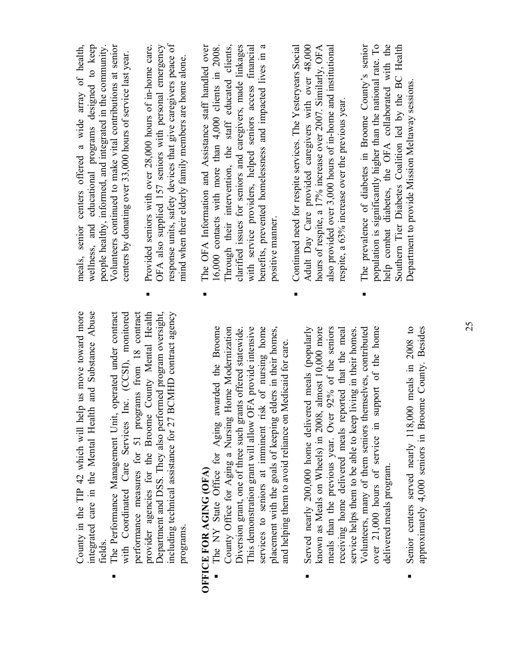| ٠              | County in the TIP 42 which will help us move toward more<br>and Substance Abuse<br>operated under contract<br>performance measures for 51 programs from 18 contract<br>County Mental Health<br>including technical assistance for 27 BCMHD contract agency<br>with Coordinated Care Services Inc. (CCSI), monitored<br>Department and DSS. They also performed program oversight,<br>integrated care in the Mental Health<br>The Performance Management Unit,<br>provider agencies for the Broome<br>programs.<br>fields                                                 | response units, safety devices that give caregivers peace of<br>meals, senior centers offered a wide array of health,<br>Volunteers continued to make vital contributions at senior<br>wellness, and educational programs designed to keep<br>Provided seniors with over 28,000 hours of in-home care.<br>OFA also supplied 157 seniors with personal emergency<br>people healthy, informed, and integrated in the community<br>centers by donating over 33,000 hours of service last year.<br>mind when their elderly family members are home alone.                 |
|----------------|--------------------------------------------------------------------------------------------------------------------------------------------------------------------------------------------------------------------------------------------------------------------------------------------------------------------------------------------------------------------------------------------------------------------------------------------------------------------------------------------------------------------------------------------------------------------------|-----------------------------------------------------------------------------------------------------------------------------------------------------------------------------------------------------------------------------------------------------------------------------------------------------------------------------------------------------------------------------------------------------------------------------------------------------------------------------------------------------------------------------------------------------------------------|
| $\blacksquare$ | State Office for Aging awarded the Broome<br>This demonstration grant will allow OFA provide intensive<br>services to seniors at imminent risk of nursing home<br>Served nearly 200,000 home delivered meals (popularly<br>almost 10,000 more<br>County Office for Aging a Nursing Home Modernization<br>placement with the goals of keeping elders in their homes,<br>Diversion grant, one of three such grants offered statewide.<br>and helping them to avoid reliance on Medicaid for care<br>known as Meals on Wheels) in 2008,<br>OFFICE FOR AGING (OFA)<br>The NY | clarified issues for seniors and caregivers, made linkages<br>Through their intervention, the staff educated clients,<br>Adult Day Care provided caregivers with over 48,000<br>The OFA Information and Assistance staff handled over<br>benefits, prevented homelessness and impacted lives in a<br>with service providers, helped seniors access financial<br>Continued need for respite services. The Yesteryears Social<br>hours of respite, a 17% increase over 2007. Similarly, OFA<br>16,000 contacts with more than 4,000 clients in 2008<br>positive manner. |
| $\blacksquare$ | 92% of the seniors<br>Senior centers served nearly 118,000 meals in 2008 to<br>Volunteers, many of them seniors themselves, contributed<br>over 21,000 hours of service in support of the home<br>receiving home delivered meals reported that the meal<br>service helps them to be able to keep living in their homes<br>meals than the previous year. Over<br>delivered meals program.                                                                                                                                                                                 | The prevalence of diabetes in Broome County's senior<br>population is significantly higher than the national rate. To<br>help combat diabetes, the OFA collaborated with the<br>Southern Tier Diabetes Coalition led by the BC Health<br>also provided over 3,000 hours of in-home and institutional<br>Department to provide Mission Meltaway sessions.<br>respite, a 63% increase over the previous year.                                                                                                                                                           |
|                | approximately $4.000$ seniors in Broome County. Besides                                                                                                                                                                                                                                                                                                                                                                                                                                                                                                                  |                                                                                                                                                                                                                                                                                                                                                                                                                                                                                                                                                                       |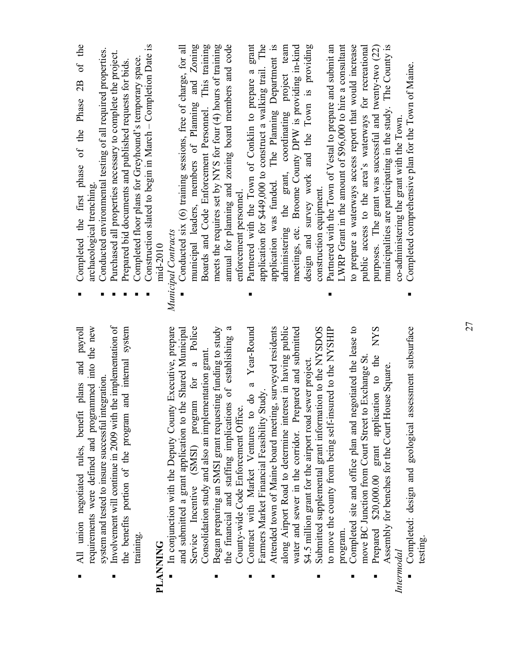| requirements were defined and programmed into the new<br>plans and payroll<br>All union negotiated rules, benefit  | Completed the first phase of the Phase 2B of the<br>archaeological trenching                                               |
|--------------------------------------------------------------------------------------------------------------------|----------------------------------------------------------------------------------------------------------------------------|
| Involvement will continue in 2009 with the implementation of<br>system and tested to insure successful integration | Conducted environmental testing of all required properties.<br>Purchased all properties necessary to complete the project. |
| and internal system<br>the benefits portion of the program                                                         | Prepared bid documents and published requests for bids.                                                                    |
| training.                                                                                                          | Construction slated to begin in March - Completion Date is<br>Completed floor plans for Greyhound's temporary space.       |
| <b>ONINIA</b>                                                                                                      | mid-2010                                                                                                                   |
| In conjunction with the Deputy County Executive, prepare                                                           | Municipal Contracts                                                                                                        |
| Service Incentive (SMSI) program for a Police<br>and submitted a grant application to the Shared Municipal         | municipal leaders, members of Planning and Zoning<br>Conducted six (6) training sessions, free of charge, for all          |
| Consolidation study and also an implementation grant.                                                              | Boards and Code Enforcement Personnel. This training                                                                       |
| Began preparing an SMSI grant requesting funding to study                                                          | meets the requires set by NYS for four $(4)$ hours of training                                                             |
| $\mathfrak{a}$<br>the financial and staffing implications of establishing<br>County-wide Code Enforcement Office   | annual for planning and zoning board members and code<br>enforcement personnel.                                            |
| do a Year-Round<br>Contract with Market Ventures to                                                                | Partnered with the Town of Conklin to prepare a grant                                                                      |
| Farmers Market Financial Feasibility Study.                                                                        | application for \$449,000 to construct a walking trail. The                                                                |
| Attended town of Maine board meeting, surveyed residents                                                           | The Planning Department is<br>application was funded.                                                                      |
| along Airport Road to determine interest in having public                                                          | administering the grant, coordinating project team                                                                         |
| water and sewer in the corridor. Prepared and submitted                                                            | meetings, etc. Broome County DPW is providing in-kind                                                                      |
| sewer project.<br>\$4.5 million grant for the airport road                                                         | design and survey work and the Town is providing                                                                           |
| Submitted supplemental grant information to the NYSDOS                                                             | Partnered with the Town of Vestal to prepare and submit an<br>construction equipment.                                      |
| to move the county from being self-insured to the NYSHIP<br>program                                                | LWRP Grant in the amount of \$96,000 to hire a consultant                                                                  |
| Completed site and office plan and negotiated the lease to                                                         | to prepare a waterways access report that would increase                                                                   |
| move BC Junction from Court Street to Exchange St.                                                                 | public access to the area's waterways for recreational                                                                     |
| Prepared \$20,000.00 grant application to the NYS                                                                  | purposes. The grant was successful and twenty-two (22)                                                                     |
| Assembly for benches for the Court House Square                                                                    | municipalities are participating in the study. The County is                                                               |
| ppoula                                                                                                             | co-administering the grant with the Town.                                                                                  |
| Completed: design and geological assessment subsurface                                                             | Completed comprehensive plan for the Town of Maine.                                                                        |
| testing.                                                                                                           |                                                                                                                            |

**PLANNING** 

PLANNING

*Intermodal* 

testing.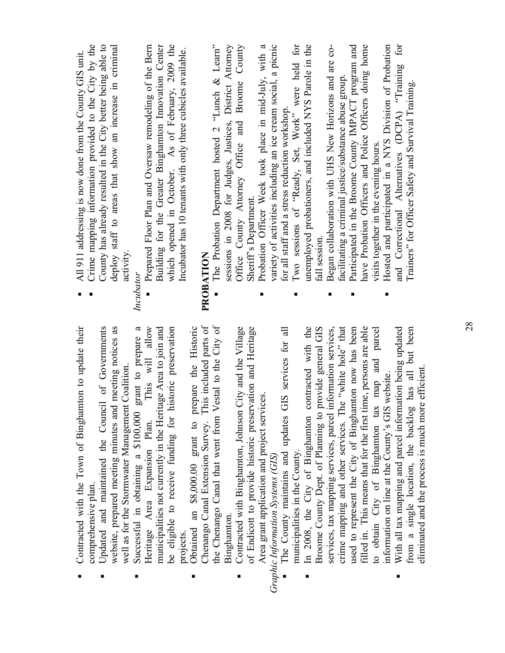|   | Contracted with the Town of Binghamton to update their<br>comprehensive plan.                                                                                                    | Crime mapping information provided to the City by the<br>All 911 addressing is now done from the County GIS unit.                                                    |               |
|---|----------------------------------------------------------------------------------------------------------------------------------------------------------------------------------|----------------------------------------------------------------------------------------------------------------------------------------------------------------------|---------------|
|   | website, prepared meeting minutes and meeting notices as<br>Updated and maintained the Council of Governments<br>well as for the Stormwater Management Coalition.                | County has already resulted in the City better being able to<br>deploy staff to areas that show an increase in criminal<br>activity.                                 |               |
| ٠ | grant to prepare a<br>Successful in obtaining a \$100,000                                                                                                                        | Incubator                                                                                                                                                            |               |
|   | This will allow<br>municipalities not currently in the Heritage Area to join and<br>historic preservation<br>be eligible to receive funding for<br>Heritage Area Expansion Plan. | Building for the Greater Binghamton Innovation Center<br>which opened in October. As of February, 2009 the<br>Prepared Floor Plan and Oversaw remodeling of the Bern |               |
| п | prepare the Historic<br>Obtained an \$8,000.00 grant to<br>projects.                                                                                                             | Incubator has 10 tenants with only three cubicles available.                                                                                                         |               |
|   | This included parts of<br>Vestal to the City of<br>the Chenango Canal that went from<br>Chenango Canal Extension Survey.                                                         | The Probation Department hosted 2 "Lunch $\&$ Learn"<br>PROBATION                                                                                                    |               |
|   | Binghamton.                                                                                                                                                                      | sessions in 2008 for Judges, Justices, District Attorney                                                                                                             |               |
|   | Contracted with Binghamton, Johnson City and the Village                                                                                                                         | Office County Attorney Office and                                                                                                                                    | Broome County |
|   | of Endicott to provide historic preservation and Heritage                                                                                                                        | Sheriff's Department.                                                                                                                                                |               |
|   | Area grant application and project services                                                                                                                                      | Probation Officer Week took place in mid-July, with a                                                                                                                |               |
|   | Graphic Information Systems (GIS)                                                                                                                                                | variety of activities including an ice cream social, a picnic                                                                                                        |               |
|   | GIS services for all<br>The County maintains and updates                                                                                                                         | for all staff and a stress reduction workshop.                                                                                                                       |               |
|   | municipalities in the County.                                                                                                                                                    | Two sessions of "Ready, Set, Work" were held for                                                                                                                     |               |
|   | contracted with the<br>In 2008, the City of Binghamton                                                                                                                           | unemployed probationers, and included NYS Parole in the                                                                                                              |               |
|   | provide general GIS<br>Broome County Dept. of Planning to                                                                                                                        | fall session                                                                                                                                                         |               |
|   | services, tax mapping services, parcel information services,                                                                                                                     | Began collaboration with UHS New Horizons and are co-                                                                                                                |               |
|   | crime mapping and other services. The "white hole" that<br>used to represent the City of Binghamton now has been                                                                 | Participated in the Broome County IMPACT program and<br>facilitating a criminal justice/substance abuse group.                                                       |               |
|   | filled in. This means that for the first time, persons are able                                                                                                                  | have Probation Officers and Police Officers doing home                                                                                                               |               |
|   | to obtain City of Binghamton tax map and parcel                                                                                                                                  | visits together in the evening hours.                                                                                                                                |               |
|   | information on line at the County's GIS website.                                                                                                                                 | Hosted and participated in a NYS Division of Probation                                                                                                               |               |
| ٠ | With all tax mapping and parcel information being updated<br>from a single location, the backlog has all but been                                                                | and Correctional Alternatives (DCPA) "Training for<br>Trainers" for Officer Safety and Survival Training.                                                            |               |
|   | eliminated and the process is much more efficient                                                                                                                                |                                                                                                                                                                      |               |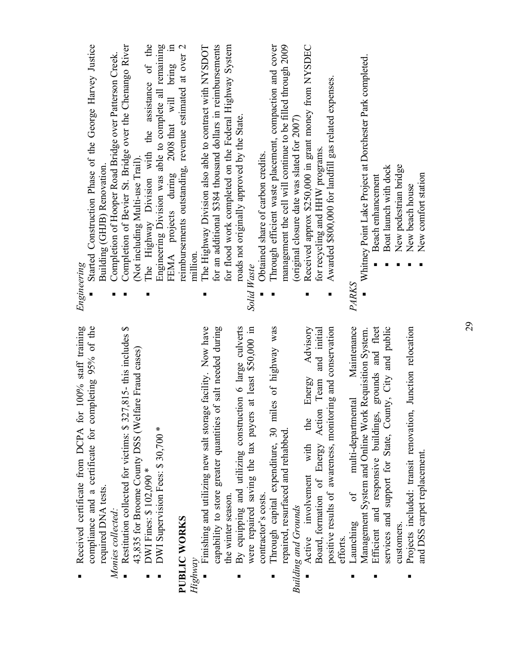|         | 100% staff training<br>Received certificate from DCPA for     | Engineering                                                 |
|---------|---------------------------------------------------------------|-------------------------------------------------------------|
|         | compliance and a certificate for completing 95% of the        | Started Construction Phase of the George Harvey Justice     |
|         | required DNA tests.                                           | Building (GHJB) Renovation                                  |
|         | Monies collected:                                             | Completion of Hooper Road Bridge over Patterson Creek.      |
|         | Restitution collected for victims: \$327,815-this includes \$ | Completion of Bevier St. Bridge over the Chenango River     |
|         | 43,835 for Broome County DSS (Welfare Fraud cases)            | Not including Multi-use Trail).                             |
|         | DWI Fines: \$102,090 *                                        | The Highway Division with the assistance of the             |
|         | DWI Supervision Fees: \$30,700 *                              | Engineering Division was able to complete all remaining     |
|         |                                                               | FEMA projects during 2008 that will bring in                |
|         | PUBLIC WORKS                                                  | reimbursements outstanding, revenue estimated at over 2     |
| Highway |                                                               | million.                                                    |
|         | Finishing and utilizing new salt storage facility. Now have   | The Highway Division also able to contract with NYSDOT<br>п |
|         | capability to store greater quantities of salt needed during  | for an additional \$384 thousand dollars in reimbursements  |
|         | the winter season.                                            | for flood work completed on the Federal Highway System      |
|         | By equipping and utilizing construction 6 large culverts      | roads not originally approved by the State.                 |
|         | at least \$50,000 in<br>were repaired saving the tax payers   | Solid Waste                                                 |
|         | contractor's costs.                                           | Obtained share of carbon credits.                           |
|         | Through capital expenditure, 30 miles of highway was          | Through efficient waste placement, compaction and cover     |
|         | repaired, resurfaced and rehabbed                             | management the cell will continue to be filled through 2009 |
|         | <b>Building and Grounds</b>                                   | (original closure date was slated for 2007)                 |
|         | Advisory<br>Energy<br>the<br>Active involvement with          | Received approx \$250,000 in grant money from NYSDEC<br>п   |
|         | Team and initial<br>Board, formation of Energy Action         | for recycling and HHW programs.                             |
|         | positive results of awareness, monitoring and conservation    | Awarded \$800,000 for landfill gas related expenses.        |
|         | efforts                                                       |                                                             |
|         | Maintenance<br>multi-departmental<br>$\sigma$<br>Launching    | PARKS                                                       |
|         | Requisition System.<br>Management System and Online Work      | Whitney Point Lake Project at Dorchester Park completed.    |
|         | grounds and fleet<br>Efficient and responsive buildings,      | Beach enhancement                                           |
|         | services and support for State, County, City and public       | Boat launch with dock                                       |
|         | customers                                                     | New pedestrian bridge                                       |
| п       | Junction relocation<br>Projects included: transit renovation, | New beach house                                             |
|         | and DSS carpet replacement.                                   | New comfort station                                         |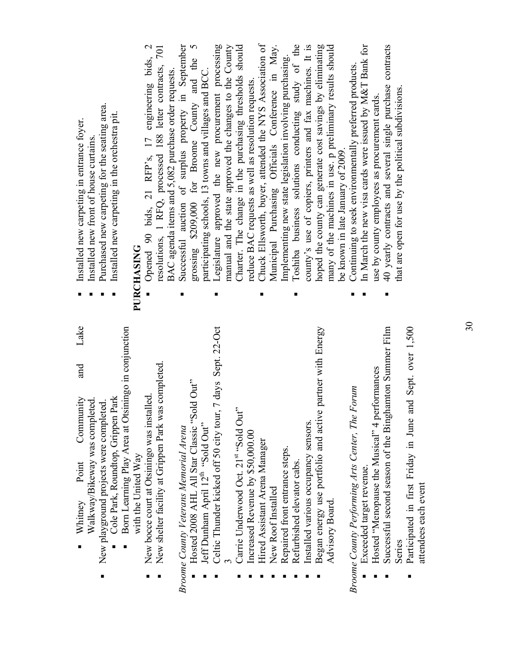| Walkway/Bikeway was completed.                               | Installed new front of house curtains.                    |
|--------------------------------------------------------------|-----------------------------------------------------------|
| New playground projects were completed.                      | Purchased new carpeting for the seating area.             |
| Cole Park, Roundtop, Grippen Park                            | Installed new carpeting in the orchestra pit.             |
| Born Learning Play Area at Otsiningo in conjunction          |                                                           |
| with the United Way                                          | PURCHASING                                                |
| New bocce court at Otsiningo was installed.                  | Opened 90 bids, 21 RFP's, 17 engineering bids, 2          |
| New shelter facility at Grippen Park was completed           | resolutions, 1 RFQ, processed 188 letter contracts, 701   |
|                                                              | BAC agenda items and 5,082 purchase order requests.       |
| Broome County Veterans Memorial Arena                        | Successful auction of surplus property in September       |
| Hosted 2008 AHL All Star Classic "Sold Out"                  | grossing \$209,000 for Broome County and the 5            |
| Jeff Dunham April 12 <sup>th</sup> "Sold Out"                | participating schools, 13 towns and villages and BCC.     |
| Celtic Thunder kicked off 50 city tour, 7 days Sept. 22-Oct  | Legislature approved the new procurement processing<br>п  |
|                                                              | manual and the state approved the changes to the County   |
| Carrie Underwood Oct. 21st "Sold Out"                        | Charter. The change in the purchasing thresholds should   |
| Increased Revenue by \$50,000.00                             | reduce BAC requests as well as resolution requests.       |
| Hired Assistant Arena Manager                                | Chuck Ellsworth, buyer, attended the NYS Association of   |
| New Roof Installed                                           | Municipal Purchasing Officials Conference in May.         |
| Repaired front entrance steps.                               | Implementing new state legislation involving purchasing.  |
| Refurbished elevator cabs.                                   | Toshiba business solutions conducting study of the<br>п   |
| Installed various occupancy sensors.                         | county's use of copiers, printers and fax machines. It is |
| partner with Energy<br>Began energy use portfolio and active | hoped the county can generate cost savings by eliminating |
| Advisory Board                                               | many of the machines in use. p preliminary results should |
|                                                              | be known in late January of 2009.                         |
| Broome County Performing Arts Center, The Forum              | Continuing to seek environmentally preferred products.    |
| Exceeded target revenue.                                     | In March the new visa cards were issued by M&T Bank for   |
| Hosted "Menopause the Musical" 4 performances                | use by county employees as procurement cards.             |
| Successful second season of the Binghamton Summer Film       | 40 yearly contracts and several single purchase contracts |
| Series                                                       | that are open for use by the political subdivisions.      |
| Participated in first Friday in June and Sept. over 1,500    |                                                           |

 $\blacksquare$ 

Whitney

attendees each event

attendees each event

Whitney Point Community and Lake

Point

Community

■

Lake

and

Installed new carpeting in entrance foyer.

Installed new carpeting in entrance foyer.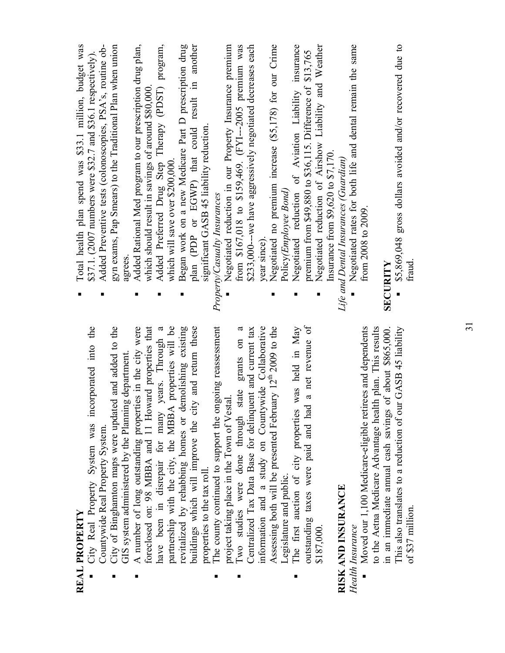| City Real Property System was incorporated into the<br>REAL PROPERTY                                                    | Total health plan spend was \$33.1 million, budget was<br>\$37.1. (2007 numbers were \$32.7 and \$36.1 respectively). |
|-------------------------------------------------------------------------------------------------------------------------|-----------------------------------------------------------------------------------------------------------------------|
| Countywide Real Property System.                                                                                        | Added Preventive tests (colonoscopies, PSA's, routine ob-                                                             |
| City of Binghamton maps were updated and added to the<br>GIS system administered by the Planning department.            | gyn exams, Pap Smears) to the Traditional Plan when union<br>agrees                                                   |
| foreclosed on: 98 MBBA and 11 Howard properties that<br>A number of long outstanding properties in the city were        | Added Rational Med program to our prescription drug plan,<br>which should result in savings of around \$80,000        |
| years. Through a<br>have been in disrepair for many                                                                     | Added Preferred Drug Step Therapy (PDST) program,                                                                     |
| partnership with the city, the MBBA properties will be<br>demolishing existing<br>revitalized by rehabbing homes or     | Began work on a new Medicare Part D prescription drug<br>which will save over \$200,000.                              |
| buildings which will improve the city and return these<br>properties to the tax roll.                                   | plan (PDP or EGWP) that could result in another<br>significant GASB 45 liability reduction                            |
| The county continued to support the ongoing reassessment                                                                | Property/Casualty Insurances                                                                                          |
| project taking place in the Town of Vestal                                                                              | Negotiated reduction in our Property Insurance premium                                                                |
| grants on<br>state<br>Two studies were done through                                                                     | from \$167,018 to \$159,469. (FYI--2005 premium was                                                                   |
| Centralized Tax Data Base for delinquent and current tax                                                                | \$233,000---we have aggressively negotiated decreases each                                                            |
| information and a study on Countywide Collaborative                                                                     | year since)                                                                                                           |
| Assessing both will be presented February 12 <sup>th</sup> 2009 to the                                                  | Negotiated no premium increase (\$5,178) for our Crime                                                                |
| Legislature and public.                                                                                                 | Policy(Employee Bond)                                                                                                 |
| was held in May<br>The first auction of city properties                                                                 | Negotiated reduction of Aviation Liability insurance                                                                  |
| a net revenue of<br>outstanding taxes were paid and had                                                                 | premium from $$49,880$ to $$36,115$ . Difference of $$13,765$                                                         |
| \$187,000.                                                                                                              | Negotiated reduction of Airshow Liability and Weather                                                                 |
|                                                                                                                         | Insurance from \$9,620 to \$7,170.                                                                                    |
| RISK AND INSURANCE                                                                                                      | Life and Dental Insurances (Guardian)                                                                                 |
| Health Insurance                                                                                                        | Negotiated rates for both life and dental remain the same                                                             |
| Moved our 1,100 Medicare-eligible retirees and dependents                                                               | from 2008 to 2009.                                                                                                    |
| to the Aetna Medicare Advantage health plan. This results                                                               |                                                                                                                       |
| This also translates to a reduction of our GASB 45 liability<br>in an immediate annual cash savings of about \$865,000. | \$5,869,048 gross dollars avoided and/or recovered due to<br><b>SECURITY</b>                                          |
| of \$37 million.                                                                                                        | fraud                                                                                                                 |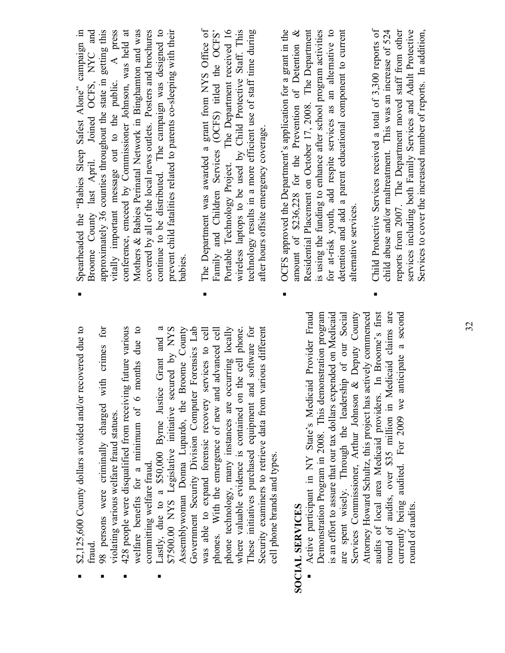| \$2,125,600 County dollars avoided and/or recovered due to<br>traud.                                                          |   | Spearheaded the "Babies Sleep Safest Alone" campaign in<br>Broome County last April. Joined OCFS, NYC and                                                                                   |
|-------------------------------------------------------------------------------------------------------------------------------|---|---------------------------------------------------------------------------------------------------------------------------------------------------------------------------------------------|
| $\overline{f}$<br>with crimes<br>98 persons were criminally charged<br>violating various welfare fraud statues.               |   | approximately 36 counties throughout the state in getting this                                                                                                                              |
| 428 people were disqualified from receiving future various<br>months due to<br>welfare benefits for a minimum of 6            |   | conference, emceed by Commissioner Johnson, was held at<br>vitally important message out to the public. A press<br>Mothers & Babies Perinatal Network in Binghamton and was                 |
| committing welfare fraud.                                                                                                     |   | covered by all of the local news outlets. Posters and brochures                                                                                                                             |
| $\mathfrak{a}$<br>secured by NYS<br>Lastly, due to a \$50,000 Byrne Justice Grant and<br>\$7500.00 NYS Legislative initiative |   | continue to be distributed. The campaign was designed to<br>prevent child fatalities related to parents co-sleeping with their                                                              |
| Government Security Division Computer Forensics Lab<br>Broome County<br>Assemblywoman Donna Lupardo, the                      |   | babies.                                                                                                                                                                                     |
| services to cell<br>phones. With the emergence of new and advanced cell<br>was able to expand forensic recovery               |   | The Department was awarded a grant from NYS Office of<br>Family and Children Services (OCFS) titled the OCFS'                                                                               |
| occurring locally<br>phone technology, many instances are                                                                     |   | The Department received 16<br>Portable Technology Project.                                                                                                                                  |
| where valuable evidence is contained on the cell phone.                                                                       |   | wireless laptops to be used by Child Protective Staff. This                                                                                                                                 |
| and software for<br>These initiatives purchased equipment                                                                     |   | technology results in a more efficient use of staff time during                                                                                                                             |
| various different<br>Security examiners to retrieve data from<br>cell phone brands and types.                                 |   | after hours offsite emergency coverage.                                                                                                                                                     |
|                                                                                                                               | ٠ | OCFS approved the Department's application for a grant in the                                                                                                                               |
| <b>SOCIAL SERVICES</b>                                                                                                        |   | amount of \$236,228 for the Prevention of Detention &                                                                                                                                       |
| Active participant in NY State's Medicaid Provider Fraud<br>Demonstration Program in 2008. This demonstration program         |   | Residential Placement on October 17, 2008. The Department<br>is using the funding to enhance after school program activities                                                                |
| is an effort to assure that our tax dollars expended on Medicaid                                                              |   | for at-risk youth, add respite services as an alternative to                                                                                                                                |
| Services Commissioner, Arthur Johnson & Deputy County<br>are spent wisely. Through the leadership of our Social               |   | detention and add a parent educational component to current<br>alternative services                                                                                                         |
| Attorney Howard Schultz, this project has actively commenced                                                                  |   |                                                                                                                                                                                             |
| audits of local area Medicaid providers. In Broome's first<br>Medicaid claims are<br>round of audits, over \$35 million in    | ٠ | Child Protective Services received a total of 3,300 reports of<br>child abuse and/or maltreatment. This was an increase of 524                                                              |
| anticipate a second<br>currently being audited. For 2009 we<br>round of audits.                                               |   | services including both Family Services and Adult Protective<br>Services to cover the increased number of reports. In addition,<br>reports from 2007. The Department moved staff from other |
|                                                                                                                               |   |                                                                                                                                                                                             |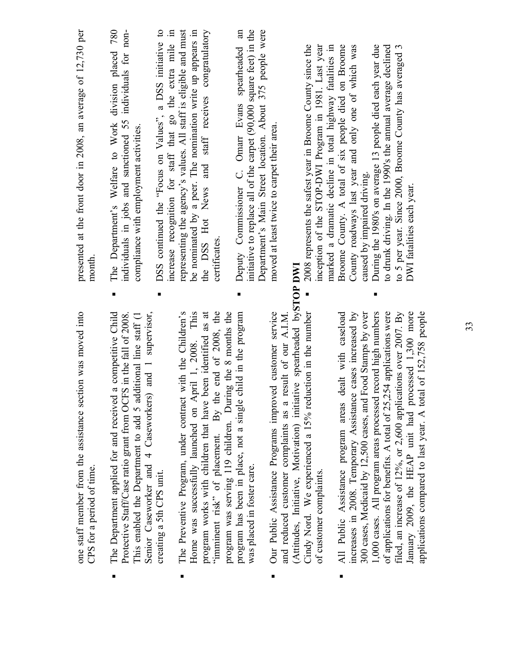| presented at the front door in 2008, an average of 12,730 per<br>month                   | The Department's Welfare to Work division placed 780<br>individuals in jobs and sanctioned 55 individuals for non-<br>compliance with employment activities.<br>п                                                                                                    | DSS continued the "Focus on Values", a DSS initiative to<br>increase recognition for staff that go the extra mile in | representing the agency's values. All staff is eligible and must<br>be nominated by a peer. The nomination write up appears in | the DSS Hot News and staff receives congratulatory<br>certificates                                                                                                                   | initiative to replace all of the carpet $(90,000)$ square feet) in the<br>Department's Main Street location. About 375 people were<br>spearheaded<br>Deputy Commissioner C. Omarr Evans | moved at least twice to carpet their area.                                                                                 |                                                                       | 2008 represents the safest year in Broome County since the<br>inception of the STOP-DWI Program in 1981. Last year | marked a dramatic decline in total highway fatalities in | Broome County. A total of six people died on Broome<br>County roadways last year and only one of which was            | During the 1980's on average 13 people died each year due<br>to drunk driving. In the 1990's the annual average declined<br>caused by impaired driving.                                           | to 5 per year. Since 2000, Broome County has averaged 3<br>DWI fatalities each year.                                   |
|------------------------------------------------------------------------------------------|----------------------------------------------------------------------------------------------------------------------------------------------------------------------------------------------------------------------------------------------------------------------|----------------------------------------------------------------------------------------------------------------------|--------------------------------------------------------------------------------------------------------------------------------|--------------------------------------------------------------------------------------------------------------------------------------------------------------------------------------|-----------------------------------------------------------------------------------------------------------------------------------------------------------------------------------------|----------------------------------------------------------------------------------------------------------------------------|-----------------------------------------------------------------------|--------------------------------------------------------------------------------------------------------------------|----------------------------------------------------------|-----------------------------------------------------------------------------------------------------------------------|---------------------------------------------------------------------------------------------------------------------------------------------------------------------------------------------------|------------------------------------------------------------------------------------------------------------------------|
| one staff member from the assistance section was moved into<br>CPS for a period of time. | a competitive Child<br>and 1 supervisor,<br>This enabled the Department to add 5 additional line staff (1<br>Protective Staff/Case ratio grant from OCFS in the fall of 2008<br>Senior Caseworker and 4 Caseworkers)<br>The Department applied for and received<br>Е | creating a 5th CPS unit.                                                                                             | with the Children's<br>Home was successfully launched on April 1, 2008. This<br>The Preventive Program, under contract<br>П    | end of 2008, the<br>program works with children that have been identified as at<br>program was serving 119 children. During the 8 months the<br>"imminent risk" of placement. By the | program has been in place, not a single child in the program<br>was placed in foster care.                                                                                              | Our Public Assistance Programs improved customer service<br>and reduced customer complaints as a result of our A.I.M.<br>٠ | (Attitudes, Initiative, Motivation) initiative spearheaded bySTOP DWI | Cindy Nord. We experienced a 15% reduction in the number<br>of customer complaints.                                |                                                          | increases in 2008. Temporary Assistance cases increased by<br>All Public Assistance program areas dealt with caseload | of applications for benefits. A total of 25,254 applications were<br>1,000 cases. All program areas processed record high numbers<br>300 cases, Medicaid by 12,500 cases, and Food Stamps by over | filed, an increase of 12%, or 2,600 applications over 2007. By<br>January 2009, the HEAP unit had processed 1,300 more |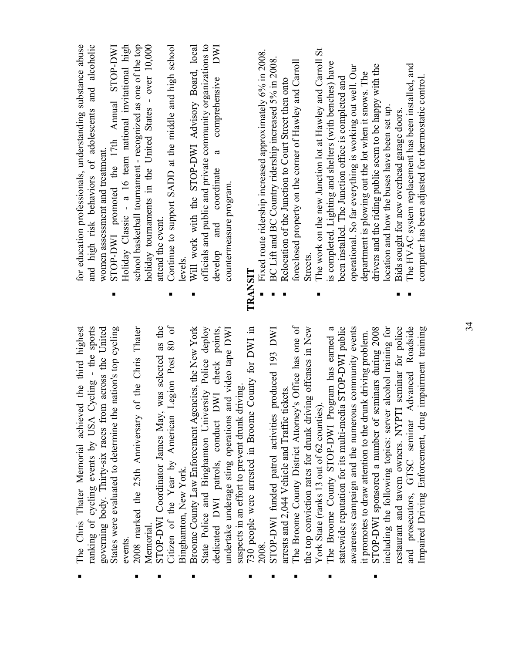| Holiday Classic - a 16 team national invitational high<br>school basketball tournament - recognized as one of the top<br>holiday tournaments in the United States - over 10,000<br>for education professionals, understanding substance abuse<br>and high risk behaviors of adolescents and alcoholic<br>STOP-DWI promoted the 17th Annual STOP-DWI<br>Continue to support SADD at the middle and high school<br>women assessment and treatment.<br>attend the event. | officials and public and private community organizations to<br>Will work with the STOP-DWI Advisory Board, local<br>comprehensive<br>B<br>coordinate<br>countermeasure program.<br>develop and<br>levels.<br>TRANSIT                                                                                                                                                   | The work on the new Junction lot at Hawley and Carroll St<br>Fixed route ridership increased approximately 6% in 2008.<br>BC Lift and BC Country ridership increased 5% in 2008<br>foreclosed property on the corner of Hawley and Carroll<br>is completed. Lighting and shelters (with benches) have<br>operational. So far everything is working out well. Our<br>been installed. The Junction office is completed and<br>Relocation of the Junction to Court Street then onto<br>Streets | The HVAC system replacement has been installed, and<br>drivers and the riding public seem to be happy with the<br>department is plowing out the lot when it snows. The<br>computer has been adjusted for thermostatic control<br>location and how the buses have been set up.<br>Bids sought for new overhead garage doors.                                    |
|-----------------------------------------------------------------------------------------------------------------------------------------------------------------------------------------------------------------------------------------------------------------------------------------------------------------------------------------------------------------------------------------------------------------------------------------------------------------------|------------------------------------------------------------------------------------------------------------------------------------------------------------------------------------------------------------------------------------------------------------------------------------------------------------------------------------------------------------------------|---------------------------------------------------------------------------------------------------------------------------------------------------------------------------------------------------------------------------------------------------------------------------------------------------------------------------------------------------------------------------------------------------------------------------------------------------------------------------------------------|----------------------------------------------------------------------------------------------------------------------------------------------------------------------------------------------------------------------------------------------------------------------------------------------------------------------------------------------------------------|
| Legion Post 80 of<br>was selected as the<br>$Cycling - the sports$<br>States were evaluated to determine the nation's top cycling<br>of the Chris Thater<br>governing body. Thirty-six races from across the United<br>The Chris Thater Memorial achieved the third highest<br>STOP-DWI Coordinator James May,<br>2008 marked the 25th Anniversary<br>Citizen of the Year by American<br>ranking of cycling events by USA<br>Memorial<br>events.                      | Broome County Law Enforcement Agencies, the New York<br>DWI check points,<br>County for DWI in<br>State Police and Binghamton University Police deploy<br>and video tape DWI<br>suspects in an effort to prevent drunk driving<br>730 people were arrested in Broome<br>undertake underage sting operations<br>dedicated DWI patrols, conduct<br>Binghamton, New York. | The Broome County District Attorney's Office has one of<br>The Broome County STOP-DWI Program has earned a<br>statewide reputation for its multi-media STOP-DWI public<br>awareness campaign and the numerous community events<br>the top conviction rates for drunk driving offenses in New<br>produced 193 DWI<br>arrests and 2,044 Vehicle and Traffic tickets<br>York State (ranks 13 out of 62 counties)<br>STOP-DWI funded patrol activities<br>2008                                  | Advanced Roadside<br>including the following topics: server alcohol training for<br>restaurant and tavern owners. NYPTI seminar for police<br>impairment training<br>STOP-DWI sponsored a number of seminars during 2008<br>it promotes to draw attention to the drunk driving problem.<br>Impaired Driving Enforcement, drug<br>and prosecutors, GTSC seminar |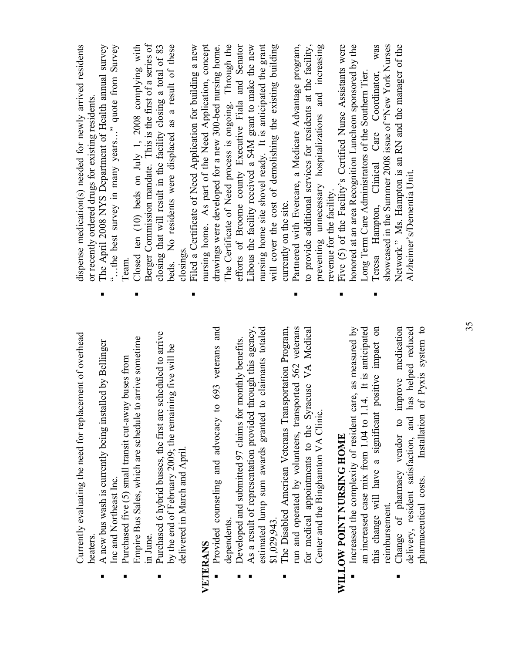|          | Currently evaluating the need for replacement of overhead<br>heaters                                                      | dispense medication(s) needed for newly arrived residents<br>or recently ordered drugs for existing residents.           |
|----------|---------------------------------------------------------------------------------------------------------------------------|--------------------------------------------------------------------------------------------------------------------------|
|          | п<br>A new bus wash is currently being installed by Bellinger                                                             | The April 2008 NYS Department of Health annual survey                                                                    |
|          | Purchased five (5) small transit cut-away buses from<br>Inc and Northeast Inc.                                            | the best survey in many years" quote from Survey<br>Team.                                                                |
|          | п<br>Empire Bus Sales, which are schedule to arrive sometime                                                              | Closed ten (10) beds on July 1, 2008 complying with                                                                      |
|          | scheduled to arrive<br>Purchased 6 hybrid busses, the first are<br>in June.                                               | Berger Commission mandate. This is the first of a series of                                                              |
|          | by the end of February 2009; the remaining five will be                                                                   | beds. No residents were displaced as a result of these<br>closing that will result in the facility closing a total of 83 |
|          | п<br>delivered in March and April.                                                                                        | Filed a Certificate of Need Application for building a new<br>closings.                                                  |
| VETERANS |                                                                                                                           | nursing home. As part of the Need Application, concept                                                                   |
|          | Provided counseling and advocacy to 693 veterans and                                                                      | drawings were developed for a new 300-bed nursing home.                                                                  |
|          | dependents                                                                                                                | The Certificate of Need process is ongoing. Through the                                                                  |
|          | Developed and submitted 97 claims for monthly benefits.                                                                   | efforts of Broome county Executive Fiala and Senator                                                                     |
|          | through this agency,<br>As a result of representation provided                                                            | Libous the facility received a \$4M grant to make the new                                                                |
|          | to claimants totaled<br>estimated lump sum awards granted                                                                 | nursing home site shovel ready. It is anticipated the grant                                                              |
|          | \$1,029.943                                                                                                               | will cover the cost of demolishing the existing building                                                                 |
|          | The Disabled American Veterans Transportation Program,                                                                    | currently on the site.                                                                                                   |
|          | п<br>run and operated by volunteers, transported 562 veterans                                                             | Partnered with Evercare, a Medicare Advantage program,                                                                   |
|          | for medical appointments to the Syracuse VA Medical                                                                       | to provide additional services for residents at the facility,                                                            |
|          | Center and the Binghamton VA Clinic.                                                                                      | preventing unnecessary hospitalizations and increasing                                                                   |
|          |                                                                                                                           | revenue for the facility.                                                                                                |
|          | WILLOW POINT NURSING HOME                                                                                                 | Five (5) of the Facility's Certified Nurse Assistants were                                                               |
|          | Increased the complexity of resident care, as measured by                                                                 | honored at an area Recognition Luncheon sponsored by the                                                                 |
|          | 14. It is anticipated<br>an increased case mix from 1.04 to 1.                                                            | Long Term Care Administrators of the Southern Tier.                                                                      |
|          | positive impact on<br>this change will have a significant                                                                 | was<br>Teresa Hampton, Clinical Care Coordinator,                                                                        |
|          | reimbursement.                                                                                                            | showcased in the Summer 2008 issue of "New York Nurses                                                                   |
|          | improve medication<br>Change of pharmacy vendor to                                                                        | Network." Ms. Hampton is an RN and the manager of the                                                                    |
|          | of Pyxis system to<br>has helped reduced<br>delivery, resident satisfaction, and<br>Installation<br>pharmaceutical costs. | Alzheimer's/Dementia Unit.                                                                                               |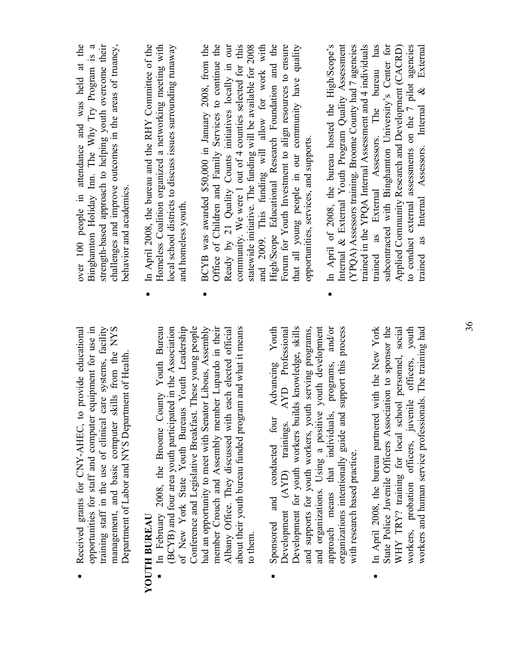$\blacksquare$ 

 $\blacksquare$ 

j,

**YOUTH BUREAU** 

**YOUTH BUREAU**